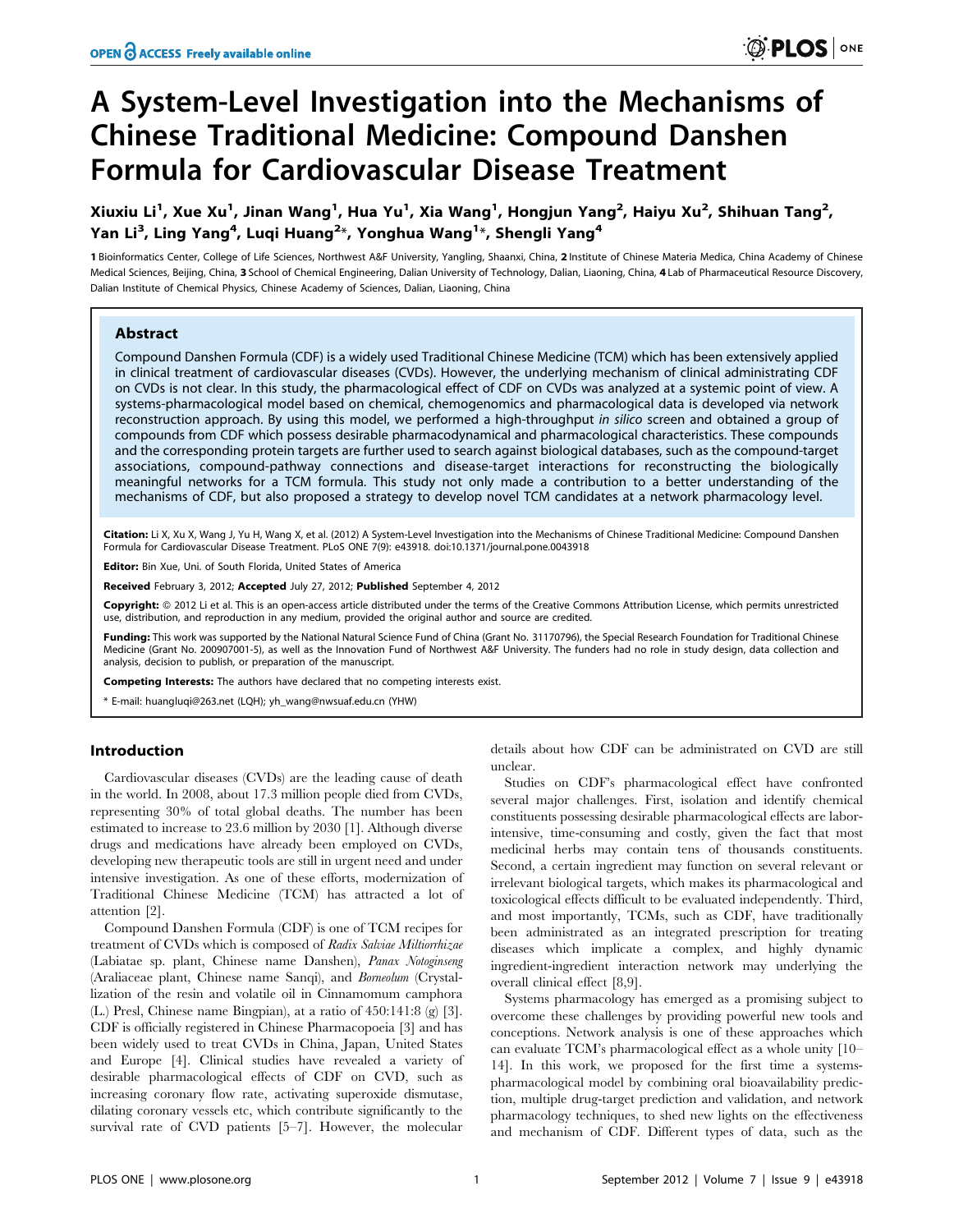# A System-Level Investigation into the Mechanisms of Chinese Traditional Medicine: Compound Danshen Formula for Cardiovascular Disease Treatment

Xiuxiu Li $^1$ , Xue Xu $^1$ , Jinan Wang $^1$ , Hua Yu $^1$ , Xia Wang $^1$ , Hongjun Yang $^2$ , Haiyu Xu $^2$ , Shihuan Tang $^2$ , Yan Li<sup>3</sup>, Ling Yang<sup>4</sup>, Luqi Huang<sup>2</sup>\*, Yonghua Wang<sup>1</sup>\*, Shengli Yang<sup>4</sup>

1 Bioinformatics Center, College of Life Sciences, Northwest A&F University, Yangling, Shaanxi, China, 2 Institute of Chinese Materia Medica, China Academy of Chinese Medical Sciences, Beijing, China, 3 School of Chemical Engineering, Dalian University of Technology, Dalian, Liaoning, China, 4 Lab of Pharmaceutical Resource Discovery, Dalian Institute of Chemical Physics, Chinese Academy of Sciences, Dalian, Liaoning, China

#### Abstract

Compound Danshen Formula (CDF) is a widely used Traditional Chinese Medicine (TCM) which has been extensively applied in clinical treatment of cardiovascular diseases (CVDs). However, the underlying mechanism of clinical administrating CDF on CVDs is not clear. In this study, the pharmacological effect of CDF on CVDs was analyzed at a systemic point of view. A systems-pharmacological model based on chemical, chemogenomics and pharmacological data is developed via network reconstruction approach. By using this model, we performed a high-throughput in silico screen and obtained a group of compounds from CDF which possess desirable pharmacodynamical and pharmacological characteristics. These compounds and the corresponding protein targets are further used to search against biological databases, such as the compound-target associations, compound-pathway connections and disease-target interactions for reconstructing the biologically meaningful networks for a TCM formula. This study not only made a contribution to a better understanding of the mechanisms of CDF, but also proposed a strategy to develop novel TCM candidates at a network pharmacology level.

Citation: Li X, Xu X, Wang J, Yu H, Wang X, et al. (2012) A System-Level Investigation into the Mechanisms of Chinese Traditional Medicine: Compound Danshen Formula for Cardiovascular Disease Treatment. PLoS ONE 7(9): e43918. doi:10.1371/journal.pone.0043918

Editor: Bin Xue, Uni. of South Florida, United States of America

Received February 3, 2012; Accepted July 27, 2012; Published September 4, 2012

Copyright: © 2012 Li et al. This is an open-access article distributed under the terms of the Creative Commons Attribution License, which permits unrestricted use, distribution, and reproduction in any medium, provided the original author and source are credited.

Funding: This work was supported by the National Natural Science Fund of China (Grant No. 31170796), the Special Research Foundation for Traditional Chinese Medicine (Grant No. 200907001-5), as well as the Innovation Fund of Northwest A&F University. The funders had no role in study design, data collection and analysis, decision to publish, or preparation of the manuscript.

Competing Interests: The authors have declared that no competing interests exist.

\* E-mail: huangluqi@263.net (LQH); yh\_wang@nwsuaf.edu.cn (YHW)

## Introduction

Cardiovascular diseases (CVDs) are the leading cause of death in the world. In 2008, about 17.3 million people died from CVDs, representing 30% of total global deaths. The number has been estimated to increase to 23.6 million by 2030 [1]. Although diverse drugs and medications have already been employed on CVDs, developing new therapeutic tools are still in urgent need and under intensive investigation. As one of these efforts, modernization of Traditional Chinese Medicine (TCM) has attracted a lot of attention [2].

Compound Danshen Formula (CDF) is one of TCM recipes for treatment of CVDs which is composed of Radix Salviae Miltiorrhizae (Labiatae sp. plant, Chinese name Danshen), Panax Notoginseng (Araliaceae plant, Chinese name Sanqi), and Borneolum (Crystallization of the resin and volatile oil in Cinnamomum camphora (L.) Presl, Chinese name Bingpian), at a ratio of 450:141:8 (g) [3]. CDF is officially registered in Chinese Pharmacopoeia [3] and has been widely used to treat CVDs in China, Japan, United States and Europe [4]. Clinical studies have revealed a variety of desirable pharmacological effects of CDF on CVD, such as increasing coronary flow rate, activating superoxide dismutase, dilating coronary vessels etc, which contribute significantly to the survival rate of CVD patients [5–7]. However, the molecular

details about how CDF can be administrated on CVD are still unclear.

Studies on CDF's pharmacological effect have confronted several major challenges. First, isolation and identify chemical constituents possessing desirable pharmacological effects are laborintensive, time-consuming and costly, given the fact that most medicinal herbs may contain tens of thousands constituents. Second, a certain ingredient may function on several relevant or irrelevant biological targets, which makes its pharmacological and toxicological effects difficult to be evaluated independently. Third, and most importantly, TCMs, such as CDF, have traditionally been administrated as an integrated prescription for treating diseases which implicate a complex, and highly dynamic ingredient-ingredient interaction network may underlying the overall clinical effect [8,9].

Systems pharmacology has emerged as a promising subject to overcome these challenges by providing powerful new tools and conceptions. Network analysis is one of these approaches which can evaluate TCM's pharmacological effect as a whole unity [10– 14]. In this work, we proposed for the first time a systemspharmacological model by combining oral bioavailability prediction, multiple drug-target prediction and validation, and network pharmacology techniques, to shed new lights on the effectiveness and mechanism of CDF. Different types of data, such as the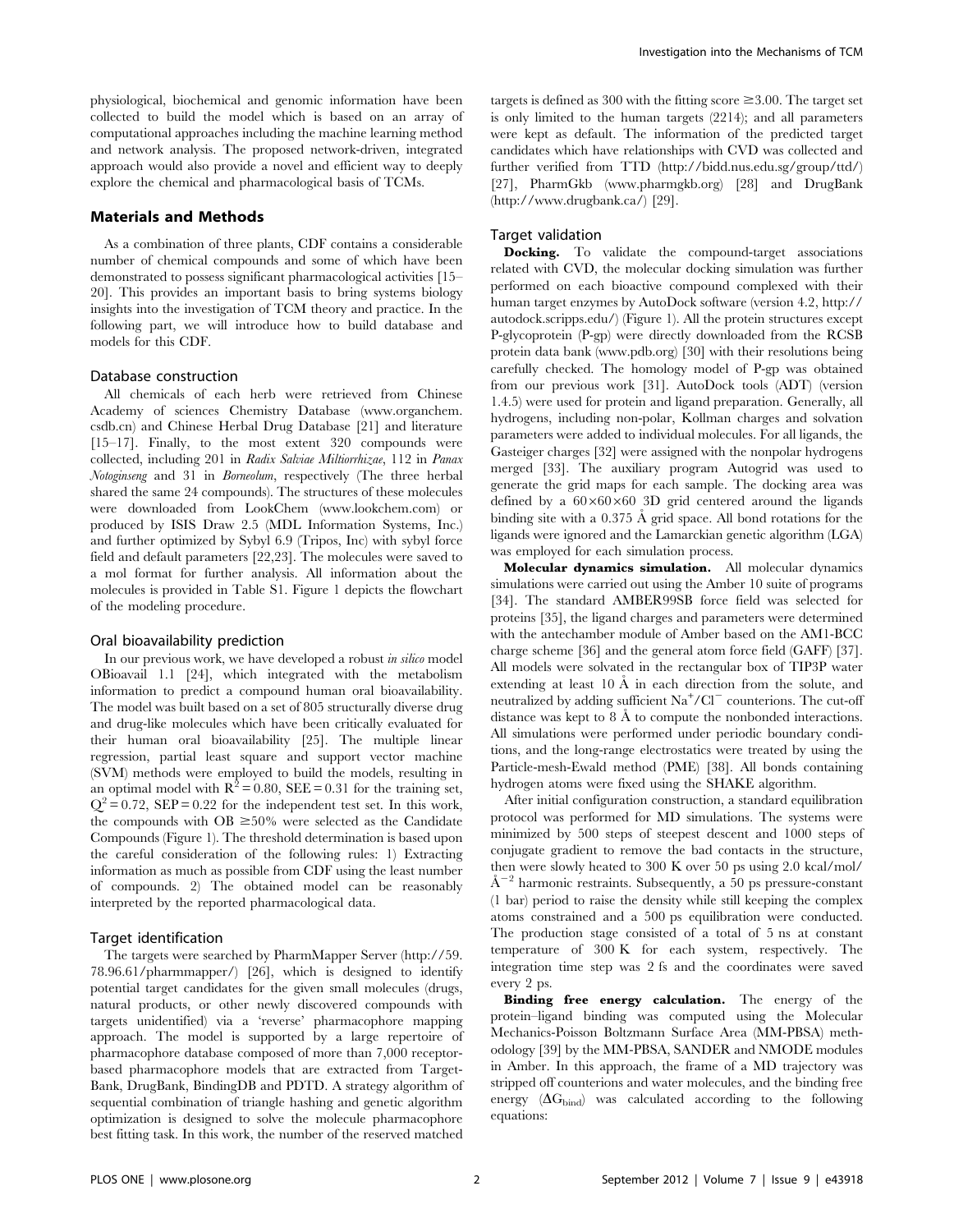physiological, biochemical and genomic information have been collected to build the model which is based on an array of computational approaches including the machine learning method and network analysis. The proposed network-driven, integrated approach would also provide a novel and efficient way to deeply explore the chemical and pharmacological basis of TCMs.

#### Materials and Methods

As a combination of three plants, CDF contains a considerable number of chemical compounds and some of which have been demonstrated to possess significant pharmacological activities [15– 20]. This provides an important basis to bring systems biology insights into the investigation of TCM theory and practice. In the following part, we will introduce how to build database and models for this CDF.

#### Database construction

All chemicals of each herb were retrieved from Chinese Academy of sciences Chemistry Database (www.organchem. csdb.cn) and Chinese Herbal Drug Database [21] and literature [15–17]. Finally, to the most extent 320 compounds were collected, including 201 in Radix Salviae Miltiorrhizae, 112 in Panax Notoginseng and 31 in Borneolum, respectively (The three herbal shared the same 24 compounds). The structures of these molecules were downloaded from LookChem (www.lookchem.com) or produced by ISIS Draw 2.5 (MDL Information Systems, Inc.) and further optimized by Sybyl 6.9 (Tripos, Inc) with sybyl force field and default parameters [22,23]. The molecules were saved to a mol format for further analysis. All information about the molecules is provided in Table S1. Figure 1 depicts the flowchart of the modeling procedure.

#### Oral bioavailability prediction

In our previous work, we have developed a robust in silico model OBioavail 1.1 [24], which integrated with the metabolism information to predict a compound human oral bioavailability. The model was built based on a set of 805 structurally diverse drug and drug-like molecules which have been critically evaluated for their human oral bioavailability [25]. The multiple linear regression, partial least square and support vector machine (SVM) methods were employed to build the models, resulting in an optimal model with  $R^2 = 0.80$ , SEE = 0.31 for the training set,  $Q^2 = 0.72$ , SEP = 0.22 for the independent test set. In this work, the compounds with OB  $\geq 50\%$  were selected as the Candidate Compounds (Figure 1). The threshold determination is based upon the careful consideration of the following rules: 1) Extracting information as much as possible from CDF using the least number of compounds. 2) The obtained model can be reasonably interpreted by the reported pharmacological data.

### Target identification

The targets were searched by PharmMapper Server (http://59. 78.96.61/pharmmapper/) [26], which is designed to identify potential target candidates for the given small molecules (drugs, natural products, or other newly discovered compounds with targets unidentified) via a 'reverse' pharmacophore mapping approach. The model is supported by a large repertoire of pharmacophore database composed of more than 7,000 receptorbased pharmacophore models that are extracted from Target-Bank, DrugBank, BindingDB and PDTD. A strategy algorithm of sequential combination of triangle hashing and genetic algorithm optimization is designed to solve the molecule pharmacophore best fitting task. In this work, the number of the reserved matched targets is defined as 300 with the fitting score  $\geq 3.00$ . The target set is only limited to the human targets (2214); and all parameters were kept as default. The information of the predicted target candidates which have relationships with CVD was collected and further verified from TTD (http://bidd.nus.edu.sg/group/ttd/) [27], PharmGkb (www.pharmgkb.org) [28] and DrugBank (http://www.drugbank.ca/) [29].

#### Target validation

Docking. To validate the compound-target associations related with CVD, the molecular docking simulation was further performed on each bioactive compound complexed with their human target enzymes by AutoDock software (version 4.2, http:// autodock.scripps.edu/) (Figure 1). All the protein structures except P-glycoprotein (P-gp) were directly downloaded from the RCSB protein data bank (www.pdb.org) [30] with their resolutions being carefully checked. The homology model of P-gp was obtained from our previous work [31]. AutoDock tools (ADT) (version 1.4.5) were used for protein and ligand preparation. Generally, all hydrogens, including non-polar, Kollman charges and solvation parameters were added to individual molecules. For all ligands, the Gasteiger charges [32] were assigned with the nonpolar hydrogens merged [33]. The auxiliary program Autogrid was used to generate the grid maps for each sample. The docking area was defined by a  $60\times60\times60$  3D grid centered around the ligands binding site with a  $0.375 \text{ Å}$  grid space. All bond rotations for the ligands were ignored and the Lamarckian genetic algorithm (LGA) was employed for each simulation process.

Molecular dynamics simulation. All molecular dynamics simulations were carried out using the Amber 10 suite of programs [34]. The standard AMBER99SB force field was selected for proteins [35], the ligand charges and parameters were determined with the antechamber module of Amber based on the AM1-BCC charge scheme [36] and the general atom force field (GAFF) [37]. All models were solvated in the rectangular box of TIP3P water extending at least 10 Å in each direction from the solute, and neutralized by adding sufficient Na<sup>+</sup>/Cl<sup>-</sup> counterions. The cut-off distance was kept to  $8 \text{ Å}$  to compute the nonbonded interactions. All simulations were performed under periodic boundary conditions, and the long-range electrostatics were treated by using the Particle-mesh-Ewald method (PME) [38]. All bonds containing hydrogen atoms were fixed using the SHAKE algorithm.

After initial configuration construction, a standard equilibration protocol was performed for MD simulations. The systems were minimized by 500 steps of steepest descent and 1000 steps of conjugate gradient to remove the bad contacts in the structure, then were slowly heated to 300 K over 50 ps using 2.0 kcal/mol/  $\AA^{-2}$  harmonic restraints. Subsequently, a 50 ps pressure-constant (1 bar) period to raise the density while still keeping the complex atoms constrained and a 500 ps equilibration were conducted. The production stage consisted of a total of 5 ns at constant temperature of 300 K for each system, respectively. The integration time step was 2 fs and the coordinates were saved every 2 ps.

Binding free energy calculation. The energy of the protein–ligand binding was computed using the Molecular Mechanics-Poisson Boltzmann Surface Area (MM-PBSA) methodology [39] by the MM-PBSA, SANDER and NMODE modules in Amber. In this approach, the frame of a MD trajectory was stripped off counterions and water molecules, and the binding free energy  $(\Delta G_{bind})$  was calculated according to the following equations: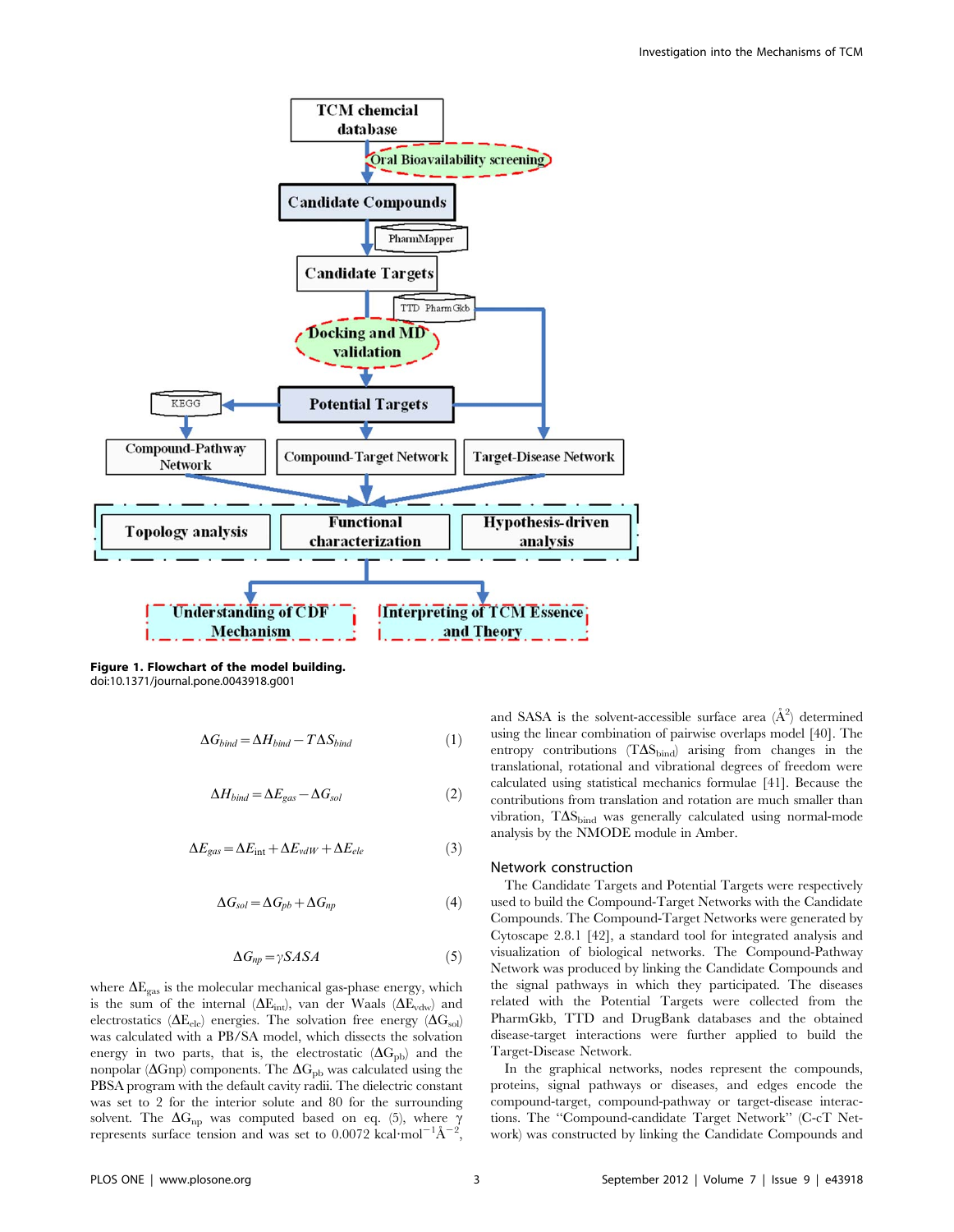

Figure 1. Flowchart of the model building. doi:10.1371/journal.pone.0043918.g001

$$
\Delta G_{bind} = \Delta H_{bind} - T\Delta S_{bind} \tag{1}
$$

$$
\Delta H_{bind} = \Delta E_{gas} - \Delta G_{sol} \tag{2}
$$

$$
\Delta E_{gas} = \Delta E_{int} + \Delta E_{vdW} + \Delta E_{ele}
$$
 (3)

$$
\Delta G_{sol} = \Delta G_{pb} + \Delta G_{np} \tag{4}
$$

$$
\Delta G_{np} = \gamma SASA \tag{5}
$$

where  $\Delta E_{\text{gas}}$  is the molecular mechanical gas-phase energy, which is the sum of the internal  $(\Delta E_{int})$ , van der Waals  $(\Delta E_{vdw})$  and electrostatics ( $\Delta E_{ele}$ ) energies. The solvation free energy ( $\Delta G_{sol}$ ) was calculated with a PB/SA model, which dissects the solvation energy in two parts, that is, the electrostatic  $(\Delta G_{\text{pb}})$  and the nonpolar ( $\Delta G$ np) components. The  $\Delta G$ <sub>pb</sub> was calculated using the PBSA program with the default cavity radii. The dielectric constant was set to 2 for the interior solute and 80 for the surrounding solvent. The  $\Delta G_{\text{np}}$  was computed based on eq. (5), where  $\gamma$ represents surface tension and was set to  $0.0072$  kcal·mol<sup>-1</sup>Å<sup>-2</sup> ,

and SASA is the solvent-accessible surface area  $(\AA^2)$  determined using the linear combination of pairwise overlaps model [40]. The entropy contributions  $(T\Delta S_{bind})$  arising from changes in the translational, rotational and vibrational degrees of freedom were calculated using statistical mechanics formulae [41]. Because the contributions from translation and rotation are much smaller than vibration, T $\Delta S_{bind}$  was generally calculated using normal-mode analysis by the NMODE module in Amber.

## Network construction

The Candidate Targets and Potential Targets were respectively used to build the Compound-Target Networks with the Candidate Compounds. The Compound-Target Networks were generated by Cytoscape 2.8.1 [42], a standard tool for integrated analysis and visualization of biological networks. The Compound-Pathway Network was produced by linking the Candidate Compounds and the signal pathways in which they participated. The diseases related with the Potential Targets were collected from the PharmGkb, TTD and DrugBank databases and the obtained disease-target interactions were further applied to build the Target-Disease Network.

In the graphical networks, nodes represent the compounds, proteins, signal pathways or diseases, and edges encode the compound-target, compound-pathway or target-disease interactions. The ''Compound-candidate Target Network'' (C-cT Network) was constructed by linking the Candidate Compounds and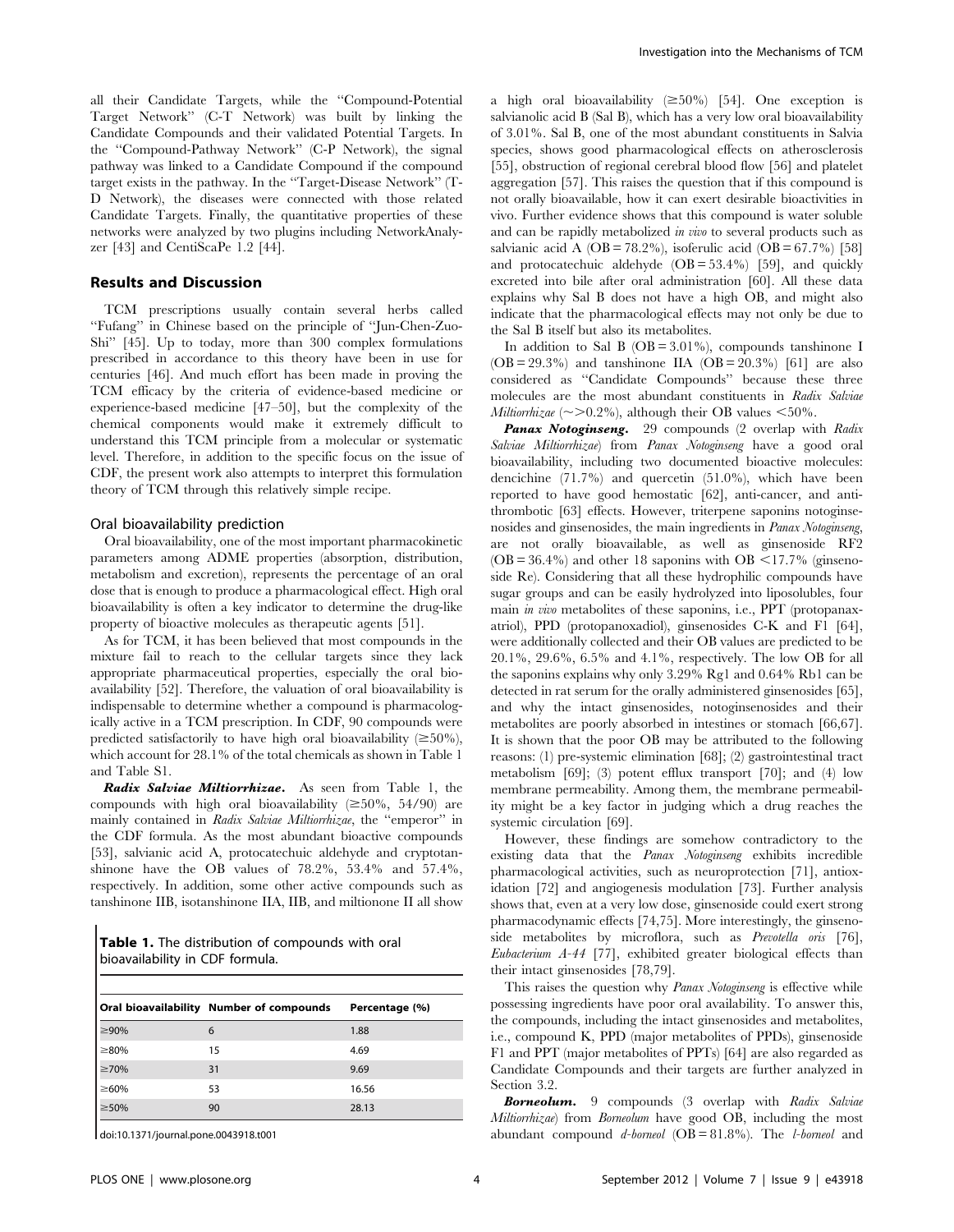all their Candidate Targets, while the ''Compound-Potential Target Network'' (C-T Network) was built by linking the Candidate Compounds and their validated Potential Targets. In the ''Compound-Pathway Network'' (C-P Network), the signal pathway was linked to a Candidate Compound if the compound target exists in the pathway. In the ''Target-Disease Network'' (T-D Network), the diseases were connected with those related Candidate Targets. Finally, the quantitative properties of these networks were analyzed by two plugins including NetworkAnalyzer [43] and CentiScaPe 1.2 [44].

#### Results and Discussion

TCM prescriptions usually contain several herbs called ''Fufang'' in Chinese based on the principle of ''Jun-Chen-Zuo-Shi'' [45]. Up to today, more than 300 complex formulations prescribed in accordance to this theory have been in use for centuries [46]. And much effort has been made in proving the TCM efficacy by the criteria of evidence-based medicine or experience-based medicine [47–50], but the complexity of the chemical components would make it extremely difficult to understand this TCM principle from a molecular or systematic level. Therefore, in addition to the specific focus on the issue of CDF, the present work also attempts to interpret this formulation theory of TCM through this relatively simple recipe.

## Oral bioavailability prediction

Oral bioavailability, one of the most important pharmacokinetic parameters among ADME properties (absorption, distribution, metabolism and excretion), represents the percentage of an oral dose that is enough to produce a pharmacological effect. High oral bioavailability is often a key indicator to determine the drug-like property of bioactive molecules as therapeutic agents [51].

As for TCM, it has been believed that most compounds in the mixture fail to reach to the cellular targets since they lack appropriate pharmaceutical properties, especially the oral bioavailability [52]. Therefore, the valuation of oral bioavailability is indispensable to determine whether a compound is pharmacologically active in a TCM prescription. In CDF, 90 compounds were predicted satisfactorily to have high oral bioavailability  $(\geq 50\%)$ , which account for 28.1% of the total chemicals as shown in Table 1 and Table S1.

Radix Salviae Miltiorrhizae. As seen from Table 1, the compounds with high oral bioavailability  $(\geq 50\%, 54/90)$  are mainly contained in Radix Salviae Miltiorrhizae, the ''emperor'' in the CDF formula. As the most abundant bioactive compounds [53], salvianic acid A, protocatechuic aldehyde and cryptotanshinone have the OB values of 78.2%, 53.4% and 57.4%, respectively. In addition, some other active compounds such as tanshinone IIB, isotanshinone IIA, IIB, and miltionone II all show

Table 1. The distribution of compounds with oral bioavailability in CDF formula.

|             | Oral bioavailability Number of compounds | Percentage (%) |
|-------------|------------------------------------------|----------------|
| ≥90%        | 6                                        | 1.88           |
| $\geq$ 80%  | 15                                       | 4.69           |
| $\geq$ 70%  | 31                                       | 9.69           |
| $\geq 60\%$ | 53                                       | 16.56          |
| $\geq$ 50%  | 90                                       | 28.13          |

doi:10.1371/journal.pone.0043918.t001

a high oral bioavailability  $(\geq 50\%)$  [54]. One exception is salvianolic acid B (Sal B), which has a very low oral bioavailability of 3.01%. Sal B, one of the most abundant constituents in Salvia species, shows good pharmacological effects on atherosclerosis [55], obstruction of regional cerebral blood flow [56] and platelet aggregation [57]. This raises the question that if this compound is not orally bioavailable, how it can exert desirable bioactivities in vivo. Further evidence shows that this compound is water soluble and can be rapidly metabolized in vivo to several products such as salvianic acid A (OB = 78.2%), isoferulic acid (OB = 67.7%) [58] and protocatechuic aldehyde  $(OB = 53.4\%)$  [59], and quickly excreted into bile after oral administration [60]. All these data explains why Sal B does not have a high OB, and might also indicate that the pharmacological effects may not only be due to the Sal B itself but also its metabolites.

In addition to Sal B ( $OB = 3.01\%$ ), compounds tanshinone I  $(OB = 29.3\%)$  and tanshinone IIA  $(OB = 20.3\%)$  [61] are also considered as ''Candidate Compounds'' because these three molecules are the most abundant constituents in Radix Salviae Miltiorrhizae ( $\sim$ >0.2%), although their OB values <50%.

Panax Notoginseng. 29 compounds (2 overlap with Radix Salviae Miltiorrhizae) from Panax Notoginseng have a good oral bioavailability, including two documented bioactive molecules: dencichine (71.7%) and quercetin (51.0%), which have been reported to have good hemostatic [62], anti-cancer, and antithrombotic [63] effects. However, triterpene saponins notoginsenosides and ginsenosides, the main ingredients in Panax Notoginseng, are not orally bioavailable, as well as ginsenoside RF2  $(OB = 36.4\%)$  and other 18 saponins with  $OB < 17.7\%$  (ginsenoside Re). Considering that all these hydrophilic compounds have sugar groups and can be easily hydrolyzed into liposolubles, four main in vivo metabolites of these saponins, i.e., PPT (protopanaxatriol), PPD (protopanoxadiol), ginsenosides C-K and F1 [64], were additionally collected and their OB values are predicted to be 20.1%, 29.6%, 6.5% and 4.1%, respectively. The low OB for all the saponins explains why only 3.29% Rg1 and 0.64% Rb1 can be detected in rat serum for the orally administered ginsenosides [65], and why the intact ginsenosides, notoginsenosides and their metabolites are poorly absorbed in intestines or stomach [66,67]. It is shown that the poor OB may be attributed to the following reasons: (1) pre-systemic elimination [68]; (2) gastrointestinal tract metabolism [69]; (3) potent efflux transport [70]; and (4) low membrane permeability. Among them, the membrane permeability might be a key factor in judging which a drug reaches the systemic circulation [69].

However, these findings are somehow contradictory to the existing data that the Panax Notoginseng exhibits incredible pharmacological activities, such as neuroprotection [71], antioxidation [72] and angiogenesis modulation [73]. Further analysis shows that, even at a very low dose, ginsenoside could exert strong pharmacodynamic effects [74,75]. More interestingly, the ginsenoside metabolites by microflora, such as *Prevotella oris* [76], Eubacterium A-44 [77], exhibited greater biological effects than their intact ginsenosides [78,79].

This raises the question why Panax Notoginseng is effective while possessing ingredients have poor oral availability. To answer this, the compounds, including the intact ginsenosides and metabolites, i.e., compound K, PPD (major metabolites of PPDs), ginsenoside F1 and PPT (major metabolites of PPTs) [64] are also regarded as Candidate Compounds and their targets are further analyzed in Section 3.2.

**Borneolum.** 9 compounds (3 overlap with Radix Salviae Miltiorrhizae) from Borneolum have good OB, including the most abundant compound *d-borneol*  $(OB = 81.8\%)$ . The *l-borneol* and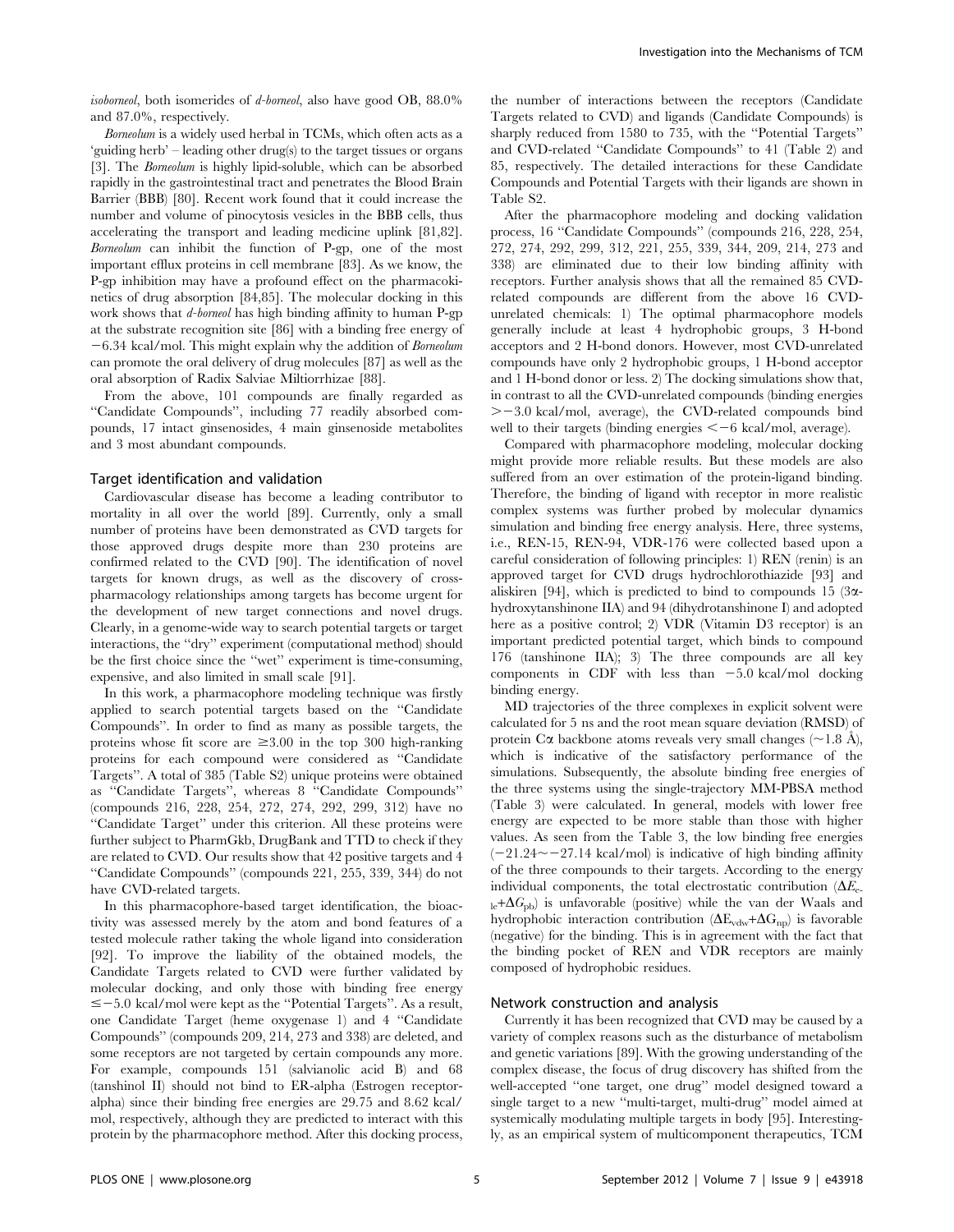isoborneol, both isomerides of d-borneol, also have good OB, 88.0% and 87.0%, respectively.

Borneolum is a widely used herbal in TCMs, which often acts as a 'guiding herb' – leading other drug(s) to the target tissues or organs [3]. The *Borneolum* is highly lipid-soluble, which can be absorbed rapidly in the gastrointestinal tract and penetrates the Blood Brain Barrier (BBB) [80]. Recent work found that it could increase the number and volume of pinocytosis vesicles in the BBB cells, thus accelerating the transport and leading medicine uplink [81,82]. Borneolum can inhibit the function of P-gp, one of the most important efflux proteins in cell membrane [83]. As we know, the P-gp inhibition may have a profound effect on the pharmacokinetics of drug absorption [84,85]. The molecular docking in this work shows that *d-borneol* has high binding affinity to human P-gp at the substrate recognition site [86] with a binding free energy of  $-6.34$  kcal/mol. This might explain why the addition of *Borneolum* can promote the oral delivery of drug molecules [87] as well as the oral absorption of Radix Salviae Miltiorrhizae [88].

From the above, 101 compounds are finally regarded as ''Candidate Compounds'', including 77 readily absorbed compounds, 17 intact ginsenosides, 4 main ginsenoside metabolites and 3 most abundant compounds.

#### Target identification and validation

Cardiovascular disease has become a leading contributor to mortality in all over the world [89]. Currently, only a small number of proteins have been demonstrated as CVD targets for those approved drugs despite more than 230 proteins are confirmed related to the CVD [90]. The identification of novel targets for known drugs, as well as the discovery of crosspharmacology relationships among targets has become urgent for the development of new target connections and novel drugs. Clearly, in a genome-wide way to search potential targets or target interactions, the ''dry'' experiment (computational method) should be the first choice since the ''wet'' experiment is time-consuming, expensive, and also limited in small scale [91].

In this work, a pharmacophore modeling technique was firstly applied to search potential targets based on the ''Candidate Compounds''. In order to find as many as possible targets, the proteins whose fit score are  $\geq 3.00$  in the top 300 high-ranking proteins for each compound were considered as ''Candidate Targets''. A total of 385 (Table S2) unique proteins were obtained as ''Candidate Targets'', whereas 8 ''Candidate Compounds'' (compounds 216, 228, 254, 272, 274, 292, 299, 312) have no ''Candidate Target'' under this criterion. All these proteins were further subject to PharmGkb, DrugBank and TTD to check if they are related to CVD. Our results show that 42 positive targets and 4 ''Candidate Compounds'' (compounds 221, 255, 339, 344) do not have CVD-related targets.

In this pharmacophore-based target identification, the bioactivity was assessed merely by the atom and bond features of a tested molecule rather taking the whole ligand into consideration [92]. To improve the liability of the obtained models, the Candidate Targets related to CVD were further validated by molecular docking, and only those with binding free energy  $\le$  -5.0 kcal/mol were kept as the "Potential Targets". As a result, one Candidate Target (heme oxygenase 1) and 4 ''Candidate Compounds'' (compounds 209, 214, 273 and 338) are deleted, and some receptors are not targeted by certain compounds any more. For example, compounds 151 (salvianolic acid B) and 68 (tanshinol II) should not bind to ER-alpha (Estrogen receptoralpha) since their binding free energies are 29.75 and 8.62 kcal/ mol, respectively, although they are predicted to interact with this protein by the pharmacophore method. After this docking process,

the number of interactions between the receptors (Candidate Targets related to CVD) and ligands (Candidate Compounds) is sharply reduced from 1580 to 735, with the ''Potential Targets'' and CVD-related ''Candidate Compounds'' to 41 (Table 2) and 85, respectively. The detailed interactions for these Candidate Compounds and Potential Targets with their ligands are shown in Table S2.

After the pharmacophore modeling and docking validation process, 16 ''Candidate Compounds'' (compounds 216, 228, 254, 272, 274, 292, 299, 312, 221, 255, 339, 344, 209, 214, 273 and 338) are eliminated due to their low binding affinity with receptors. Further analysis shows that all the remained 85 CVDrelated compounds are different from the above 16 CVDunrelated chemicals: 1) The optimal pharmacophore models generally include at least 4 hydrophobic groups, 3 H-bond acceptors and 2 H-bond donors. However, most CVD-unrelated compounds have only 2 hydrophobic groups, 1 H-bond acceptor and 1 H-bond donor or less. 2) The docking simulations show that, in contrast to all the CVD-unrelated compounds (binding energies  $\ge$  -3.0 kcal/mol, average), the CVD-related compounds bind well to their targets (binding energies  $\leq -6$  kcal/mol, average).

Compared with pharmacophore modeling, molecular docking might provide more reliable results. But these models are also suffered from an over estimation of the protein-ligand binding. Therefore, the binding of ligand with receptor in more realistic complex systems was further probed by molecular dynamics simulation and binding free energy analysis. Here, three systems, i.e., REN-15, REN-94, VDR-176 were collected based upon a careful consideration of following principles: 1) REN (renin) is an approved target for CVD drugs hydrochlorothiazide [93] and aliskiren [94], which is predicted to bind to compounds 15 (3 $\alpha$ hydroxytanshinone IIA) and 94 (dihydrotanshinone I) and adopted here as a positive control; 2) VDR (Vitamin D3 receptor) is an important predicted potential target, which binds to compound 176 (tanshinone IIA); 3) The three compounds are all key components in CDF with less than  $-5.0$  kcal/mol docking binding energy.

MD trajectories of the three complexes in explicit solvent were calculated for 5 ns and the root mean square deviation (RMSD) of protein C $\alpha$  backbone atoms reveals very small changes ( $\sim$ 1.8 Å), which is indicative of the satisfactory performance of the simulations. Subsequently, the absolute binding free energies of the three systems using the single-trajectory MM-PBSA method (Table 3) were calculated. In general, models with lower free energy are expected to be more stable than those with higher values. As seen from the Table 3, the low binding free energies  $(-21.24\sim -27.14 \text{ kcal/mol})$  is indicative of high binding affinity of the three compounds to their targets. According to the energy individual components, the total electrostatic contribution  $(\Delta E_e$  $\text{Le}+\Delta G_{\text{ph}}$ ) is unfavorable (positive) while the van der Waals and hydrophobic interaction contribution  $(\Delta E_{vdw} + \Delta G_{no})$  is favorable (negative) for the binding. This is in agreement with the fact that the binding pocket of REN and VDR receptors are mainly composed of hydrophobic residues.

## Network construction and analysis

Currently it has been recognized that CVD may be caused by a variety of complex reasons such as the disturbance of metabolism and genetic variations [89]. With the growing understanding of the complex disease, the focus of drug discovery has shifted from the well-accepted ''one target, one drug'' model designed toward a single target to a new ''multi-target, multi-drug'' model aimed at systemically modulating multiple targets in body [95]. Interestingly, as an empirical system of multicomponent therapeutics, TCM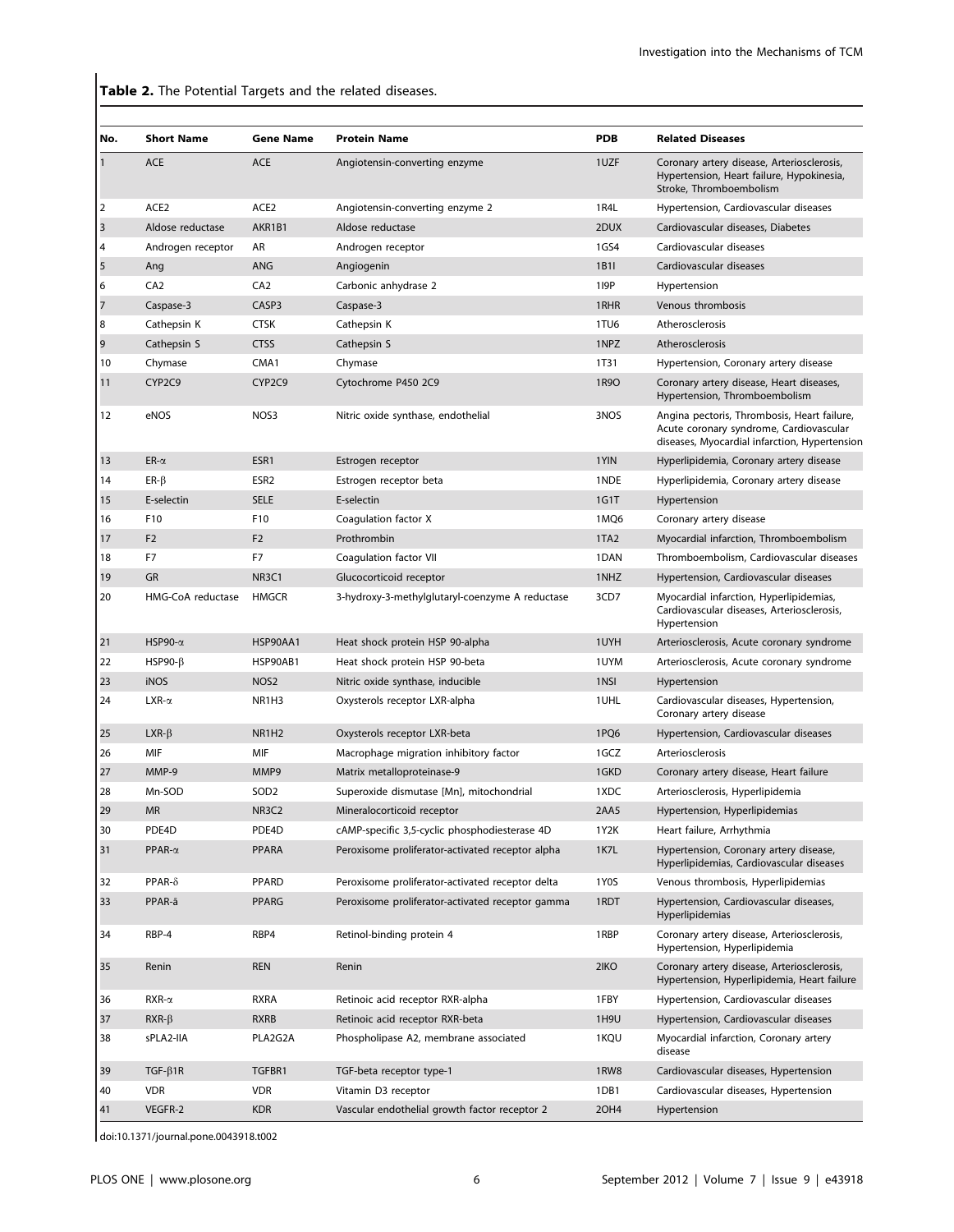Table 2. The Potential Targets and the related diseases.

| No.            | <b>Short Name</b> | <b>Gene Name</b>               | <b>Protein Name</b>                              | <b>PDB</b>       | <b>Related Diseases</b>                                                                                                                 |  |
|----------------|-------------------|--------------------------------|--------------------------------------------------|------------------|-----------------------------------------------------------------------------------------------------------------------------------------|--|
| $\mathbf{1}$   | <b>ACE</b>        | <b>ACE</b>                     | Angiotensin-converting enzyme                    | 1UZF             | Coronary artery disease, Arteriosclerosis,<br>Hypertension, Heart failure, Hypokinesia,<br>Stroke, Thromboembolism                      |  |
| 2              | ACE <sub>2</sub>  | ACE <sub>2</sub>               | Angiotensin-converting enzyme 2                  | 1R4L             | Hypertension, Cardiovascular diseases                                                                                                   |  |
| $\overline{3}$ | Aldose reductase  | AKR1B1                         | Aldose reductase                                 | 2DUX             | Cardiovascular diseases, Diabetes                                                                                                       |  |
| 4              | Androgen receptor | AR                             | Androgen receptor                                | 1GS4             | Cardiovascular diseases                                                                                                                 |  |
| 5              | Ang               | ANG                            | Angiogenin                                       | 1B11             | Cardiovascular diseases                                                                                                                 |  |
| 6              | CA <sub>2</sub>   | CA <sub>2</sub>                | Carbonic anhydrase 2                             | 119P             | Hypertension                                                                                                                            |  |
| 7              | Caspase-3         | CASP3                          | Caspase-3                                        | 1RHR             | Venous thrombosis                                                                                                                       |  |
| 8              | Cathepsin K       | <b>CTSK</b>                    | Cathepsin K                                      | 1TU6             | Atherosclerosis                                                                                                                         |  |
| 9              | Cathepsin S       | <b>CTSS</b>                    | Cathepsin S                                      | 1NPZ             | Atherosclerosis                                                                                                                         |  |
| 10             | Chymase           | CMA1                           | Chymase                                          | 1T31             | Hypertension, Coronary artery disease                                                                                                   |  |
| 11             | CYP2C9            | CYP2C9                         | Cytochrome P450 2C9                              | 1R9O             | Coronary artery disease, Heart diseases,<br>Hypertension, Thromboembolism                                                               |  |
| 12             | eNOS              | NOS3                           | Nitric oxide synthase, endothelial               | 3NOS             | Angina pectoris, Thrombosis, Heart failure,<br>Acute coronary syndrome, Cardiovascular<br>diseases, Myocardial infarction, Hypertension |  |
| 13             | $ER-\alpha$       | ESR1                           | Estrogen receptor                                | 1YIN             | Hyperlipidemia, Coronary artery disease                                                                                                 |  |
| 14             | $ER-\beta$        | ESR <sub>2</sub>               | Estrogen receptor beta                           | 1NDE             | Hyperlipidemia, Coronary artery disease                                                                                                 |  |
| 15             | E-selectin        | <b>SELE</b>                    | E-selectin                                       | 1G1T             | Hypertension                                                                                                                            |  |
| 16             | F10               | F10                            | Coagulation factor X                             | 1MQ6             | Coronary artery disease                                                                                                                 |  |
| 17             | F <sub>2</sub>    | F <sub>2</sub>                 | Prothrombin                                      | 1TA <sub>2</sub> | Myocardial infarction, Thromboembolism                                                                                                  |  |
| 18             | F7                | F7                             | Coagulation factor VII                           | 1DAN             | Thromboembolism, Cardiovascular diseases                                                                                                |  |
| 19             | GR                | NR3C1                          | Glucocorticoid receptor                          | 1NHZ             | Hypertension, Cardiovascular diseases                                                                                                   |  |
| 20             | HMG-CoA reductase | HMGCR                          | 3-hydroxy-3-methylglutaryl-coenzyme A reductase  | 3CD7             | Myocardial infarction, Hyperlipidemias,<br>Cardiovascular diseases, Arteriosclerosis,<br>Hypertension                                   |  |
| 21             | HSP90- $\alpha$   | HSP90AA1                       | Heat shock protein HSP 90-alpha                  | 1UYH             | Arteriosclerosis, Acute coronary syndrome                                                                                               |  |
| 22             | $HSP90-\beta$     | HSP90AB1                       | Heat shock protein HSP 90-beta                   | 1UYM             | Arteriosclerosis, Acute coronary syndrome                                                                                               |  |
| 23             | <b>iNOS</b>       | NOS <sub>2</sub>               | Nitric oxide synthase, inducible                 | 1NSI             | Hypertension                                                                                                                            |  |
| 24             | $LXR-\alpha$      | NR1H3                          | Oxysterols receptor LXR-alpha                    | 1UHL             | Cardiovascular diseases, Hypertension,<br>Coronary artery disease                                                                       |  |
| 25             | $LXR-B$           | NR <sub>1</sub> H <sub>2</sub> | Oxysterols receptor LXR-beta                     | 1PQ6             | Hypertension, Cardiovascular diseases                                                                                                   |  |
| 26             | MIF               | MIF                            | Macrophage migration inhibitory factor           | 1GCZ             | Arteriosclerosis                                                                                                                        |  |
| 27             | MMP-9             | MMP9                           | Matrix metalloproteinase-9                       | 1GKD             | Coronary artery disease, Heart failure                                                                                                  |  |
| 28             | Mn-SOD            | SOD <sub>2</sub>               | Superoxide dismutase [Mn], mitochondrial         | 1XDC             | Arteriosclerosis, Hyperlipidemia                                                                                                        |  |
| 29             | <b>MR</b>         | NR3C2                          | Mineralocorticoid receptor                       | 2AA5             | Hypertension, Hyperlipidemias                                                                                                           |  |
| 30             | PDE4D             | PDE4D                          | cAMP-specific 3,5-cyclic phosphodiesterase 4D    | 1Y2K             | Heart failure, Arrhythmia                                                                                                               |  |
| 31             | $PPAR-\alpha$     | PPARA                          | Peroxisome proliferator-activated receptor alpha | <b>1K7L</b>      | Hypertension, Coronary artery disease,<br>Hyperlipidemias, Cardiovascular diseases                                                      |  |
| 32             | PPAR-δ            | PPARD                          | Peroxisome proliferator-activated receptor delta | 1Y0S             | Venous thrombosis, Hyperlipidemias                                                                                                      |  |
| 33             | PPAR-ã            | <b>PPARG</b>                   | Peroxisome proliferator-activated receptor gamma | 1RDT             | Hypertension, Cardiovascular diseases,<br>Hyperlipidemias                                                                               |  |
| 34             | RBP-4             | RBP4                           | Retinol-binding protein 4                        | 1RBP             | Coronary artery disease, Arteriosclerosis,<br>Hypertension, Hyperlipidemia                                                              |  |
| 35             | Renin             | <b>REN</b>                     | Renin                                            | 2IKO             | Coronary artery disease, Arteriosclerosis,<br>Hypertension, Hyperlipidemia, Heart failure                                               |  |
| 36             | $RXR-\alpha$      | RXRA                           | Retinoic acid receptor RXR-alpha                 | 1FBY             | Hypertension, Cardiovascular diseases                                                                                                   |  |
| 37             | $RXR-\beta$       | <b>RXRB</b>                    | Retinoic acid receptor RXR-beta                  | 1H9U             | Hypertension, Cardiovascular diseases                                                                                                   |  |
| 38             | sPLA2-IIA         | PLA2G2A                        | Phospholipase A2, membrane associated            | 1KQU             | Myocardial infarction, Coronary artery<br>disease                                                                                       |  |
| 39             | $TGF-\beta1R$     | TGFBR1                         | TGF-beta receptor type-1                         | 1RW8             | Cardiovascular diseases, Hypertension                                                                                                   |  |
| 40             | <b>VDR</b>        | <b>VDR</b>                     | Vitamin D3 receptor                              | 1DB1             | Cardiovascular diseases, Hypertension                                                                                                   |  |
| 41             | VEGFR-2           | <b>KDR</b>                     | Vascular endothelial growth factor receptor 2    | 20H4             | Hypertension                                                                                                                            |  |

doi:10.1371/journal.pone.0043918.t002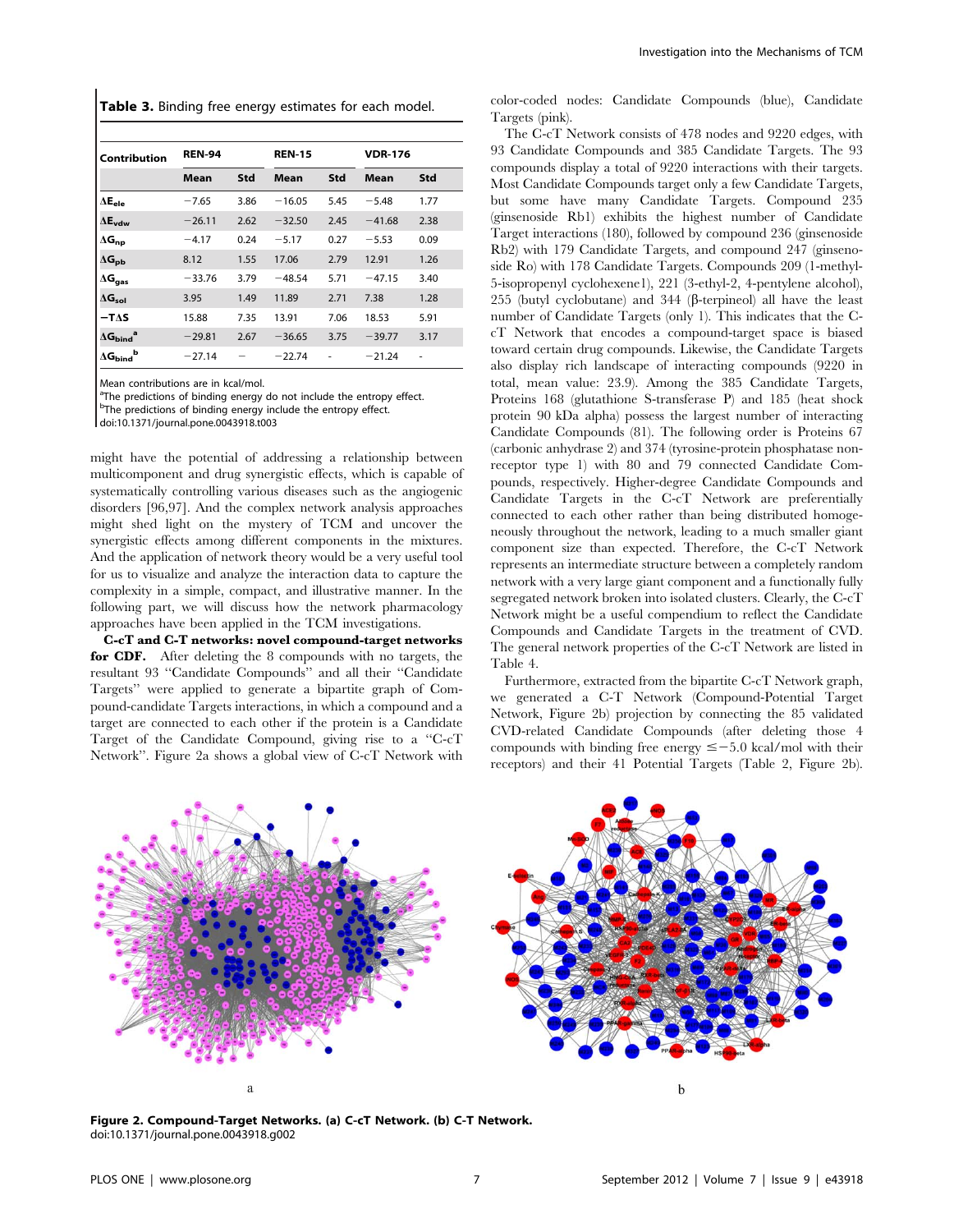Table 3. Binding free energy estimates for each model.

| <b>Contribution</b>                | <b>REN-94</b> |      | <b>REN-15</b> |      | <b>VDR-176</b> |      |
|------------------------------------|---------------|------|---------------|------|----------------|------|
|                                    | Mean          | Std  | Mean          | Std  | Mean           | Std  |
| $\Delta E_{ele}$                   | $-7.65$       | 3.86 | $-16.05$      | 5.45 | $-5.48$        | 1.77 |
| $\Delta$ E <sub>vdw</sub>          | $-26.11$      | 2.62 | $-32.50$      | 2.45 | $-41.68$       | 2.38 |
| $\Delta {\bf G_{no}}$              | $-4.17$       | 0.24 | $-5.17$       | 0.27 | $-5.53$        | 0.09 |
| $\Delta {\bf G_{pb}}$              | 8.12          | 1.55 | 17.06         | 2.79 | 12.91          | 1.26 |
| $\Delta {\bf G_{gas}}$             | $-33.76$      | 3.79 | $-48.54$      | 5.71 | $-47.15$       | 3.40 |
| $\Delta G_{sol}$                   | 3.95          | 1.49 | 11.89         | 2.71 | 7.38           | 1.28 |
| -TAS                               | 15.88         | 7.35 | 13.91         | 7.06 | 18.53          | 5.91 |
| $\Delta G_{\rm bind}$ <sup>a</sup> | $-29.81$      | 2.67 | $-36.65$      | 3.75 | $-39.77$       | 3.17 |
| $\Delta {\bf G_{bind}}$            | $-27.14$      |      | $-22.74$      |      | $-21.24$       | ۰    |

Mean contributions are in kcal/mol.

<sup>a</sup>The predictions of binding energy do not include the entropy effect.

<sup>b</sup>The predictions of binding energy include the entropy effect.

doi:10.1371/journal.pone.0043918.t003

might have the potential of addressing a relationship between multicomponent and drug synergistic effects, which is capable of systematically controlling various diseases such as the angiogenic disorders [96,97]. And the complex network analysis approaches might shed light on the mystery of TCM and uncover the synergistic effects among different components in the mixtures. And the application of network theory would be a very useful tool for us to visualize and analyze the interaction data to capture the complexity in a simple, compact, and illustrative manner. In the following part, we will discuss how the network pharmacology approaches have been applied in the TCM investigations.

C-cT and C-T networks: novel compound-target networks for CDF. After deleting the 8 compounds with no targets, the resultant 93 ''Candidate Compounds'' and all their ''Candidate Targets'' were applied to generate a bipartite graph of Compound-candidate Targets interactions, in which a compound and a target are connected to each other if the protein is a Candidate Target of the Candidate Compound, giving rise to a ''C-cT Network''. Figure 2a shows a global view of C-cT Network with color-coded nodes: Candidate Compounds (blue), Candidate Targets (pink).

The C-cT Network consists of 478 nodes and 9220 edges, with 93 Candidate Compounds and 385 Candidate Targets. The 93 compounds display a total of 9220 interactions with their targets. Most Candidate Compounds target only a few Candidate Targets, but some have many Candidate Targets. Compound 235 (ginsenoside Rb1) exhibits the highest number of Candidate Target interactions (180), followed by compound 236 (ginsenoside Rb2) with 179 Candidate Targets, and compound 247 (ginsenoside Ro) with 178 Candidate Targets. Compounds 209 (1-methyl-5-isopropenyl cyclohexene1), 221 (3-ethyl-2, 4-pentylene alcohol), 255 (butyl cyclobutane) and 344 (B-terpineol) all have the least number of Candidate Targets (only 1). This indicates that the CcT Network that encodes a compound-target space is biased toward certain drug compounds. Likewise, the Candidate Targets also display rich landscape of interacting compounds (9220 in total, mean value: 23.9). Among the 385 Candidate Targets, Proteins 168 (glutathione S-transferase P) and 185 (heat shock protein 90 kDa alpha) possess the largest number of interacting Candidate Compounds (81). The following order is Proteins 67 (carbonic anhydrase 2) and 374 (tyrosine-protein phosphatase nonreceptor type 1) with 80 and 79 connected Candidate Compounds, respectively. Higher-degree Candidate Compounds and Candidate Targets in the C-cT Network are preferentially connected to each other rather than being distributed homogeneously throughout the network, leading to a much smaller giant component size than expected. Therefore, the C-cT Network represents an intermediate structure between a completely random network with a very large giant component and a functionally fully segregated network broken into isolated clusters. Clearly, the C-cT Network might be a useful compendium to reflect the Candidate Compounds and Candidate Targets in the treatment of CVD. The general network properties of the C-cT Network are listed in Table 4.

Furthermore, extracted from the bipartite C-cT Network graph, we generated a C-T Network (Compound-Potential Target Network, Figure 2b) projection by connecting the 85 validated CVD-related Candidate Compounds (after deleting those 4 compounds with binding free energy  $\leq -5.0$  kcal/mol with their receptors) and their 41 Potential Targets (Table 2, Figure 2b).



Figure 2. Compound-Target Networks. (a) C-cT Network. (b) C-T Network. doi:10.1371/journal.pone.0043918.g002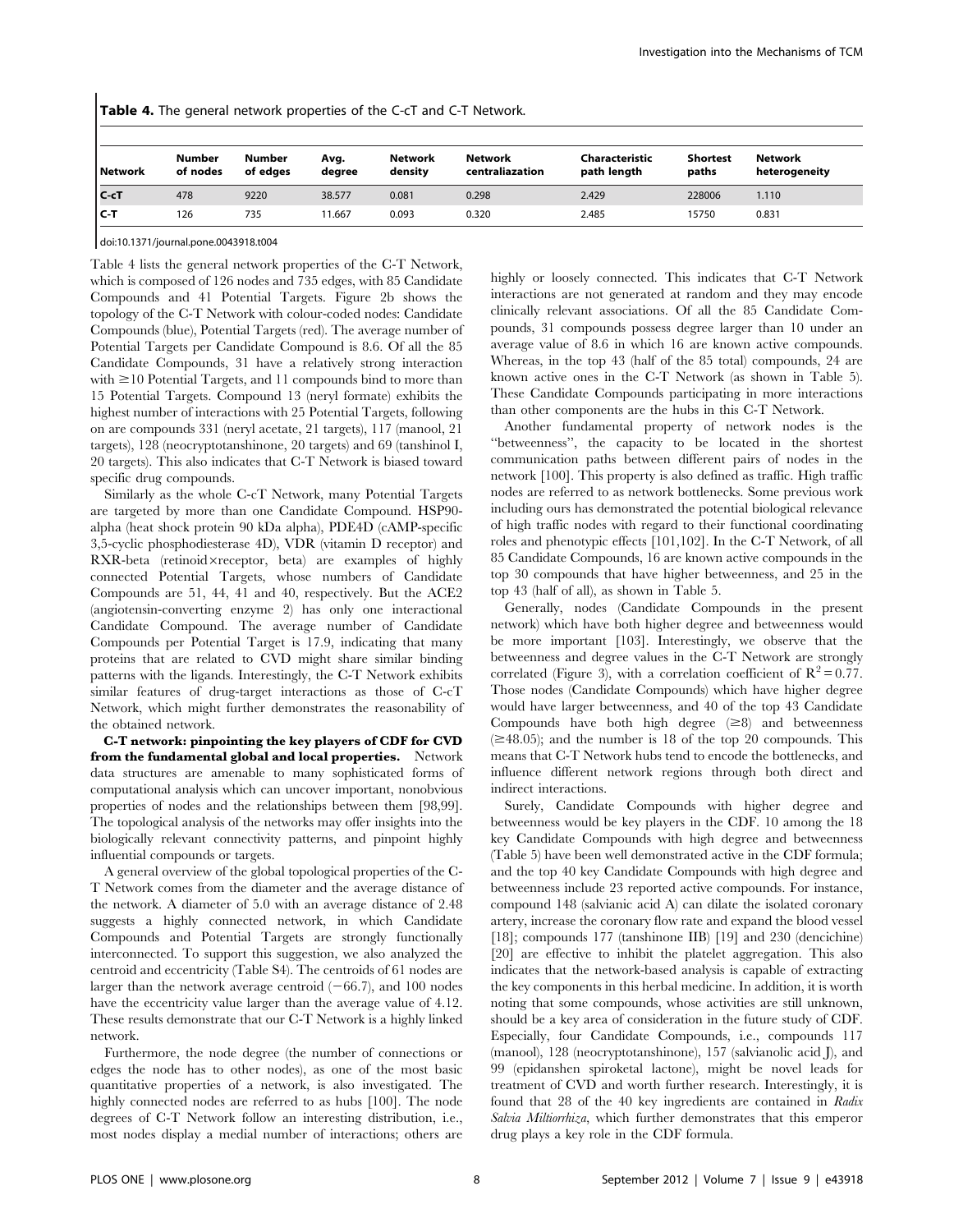| <b>Table 4.</b> The general network properties of the C-cT and C-T Network. |                    |                    |                |                    |                            |                               |                          |                          |  |  |
|-----------------------------------------------------------------------------|--------------------|--------------------|----------------|--------------------|----------------------------|-------------------------------|--------------------------|--------------------------|--|--|
| <b>Network</b>                                                              | Number<br>of nodes | Number<br>of edges | Avg.<br>degree | Network<br>density | Network<br>centraliazation | Characteristic<br>path length | <b>Shortest</b><br>paths | Network<br>heterogeneity |  |  |
| lc-cT                                                                       | 478                | 9220               | 38.577         | 0.081              | 0.298                      | 2.429                         | 228006                   | 1.110                    |  |  |
| IC-T                                                                        | 126                | 735                | 1.667          | 0.093              | 0.320                      | 2.485                         | 15750                    | 0.831                    |  |  |

doi:10.1371/journal.pone.0043918.t004

Table 4 lists the general network properties of the C-T Network, which is composed of 126 nodes and 735 edges, with 85 Candidate Compounds and 41 Potential Targets. Figure 2b shows the topology of the C-T Network with colour-coded nodes: Candidate Compounds (blue), Potential Targets (red). The average number of Potential Targets per Candidate Compound is 8.6. Of all the 85 Candidate Compounds, 31 have a relatively strong interaction with  $\geq$ 10 Potential Targets, and 11 compounds bind to more than 15 Potential Targets. Compound 13 (neryl formate) exhibits the highest number of interactions with 25 Potential Targets, following on are compounds 331 (neryl acetate, 21 targets), 117 (manool, 21 targets), 128 (neocryptotanshinone, 20 targets) and 69 (tanshinol I, 20 targets). This also indicates that C-T Network is biased toward specific drug compounds.

Similarly as the whole C-cT Network, many Potential Targets are targeted by more than one Candidate Compound. HSP90 alpha (heat shock protein 90 kDa alpha), PDE4D (cAMP-specific 3,5-cyclic phosphodiesterase 4D), VDR (vitamin D receptor) and RXR-beta (retinoid×receptor, beta) are examples of highly connected Potential Targets, whose numbers of Candidate Compounds are 51, 44, 41 and 40, respectively. But the ACE2 (angiotensin-converting enzyme 2) has only one interactional Candidate Compound. The average number of Candidate Compounds per Potential Target is 17.9, indicating that many proteins that are related to CVD might share similar binding patterns with the ligands. Interestingly, the C-T Network exhibits similar features of drug-target interactions as those of C-cT Network, which might further demonstrates the reasonability of the obtained network.

C-T network: pinpointing the key players of CDF for CVD from the fundamental global and local properties. Network data structures are amenable to many sophisticated forms of computational analysis which can uncover important, nonobvious properties of nodes and the relationships between them [98,99]. The topological analysis of the networks may offer insights into the biologically relevant connectivity patterns, and pinpoint highly influential compounds or targets.

A general overview of the global topological properties of the C-T Network comes from the diameter and the average distance of the network. A diameter of 5.0 with an average distance of 2.48 suggests a highly connected network, in which Candidate Compounds and Potential Targets are strongly functionally interconnected. To support this suggestion, we also analyzed the centroid and eccentricity (Table S4). The centroids of 61 nodes are larger than the network average centroid  $(-66.7)$ , and 100 nodes have the eccentricity value larger than the average value of 4.12. These results demonstrate that our C-T Network is a highly linked network.

Furthermore, the node degree (the number of connections or edges the node has to other nodes), as one of the most basic quantitative properties of a network, is also investigated. The highly connected nodes are referred to as hubs [100]. The node degrees of C-T Network follow an interesting distribution, i.e., most nodes display a medial number of interactions; others are highly or loosely connected. This indicates that C-T Network interactions are not generated at random and they may encode clinically relevant associations. Of all the 85 Candidate Compounds, 31 compounds possess degree larger than 10 under an average value of 8.6 in which 16 are known active compounds. Whereas, in the top 43 (half of the 85 total) compounds, 24 are known active ones in the C-T Network (as shown in Table 5). These Candidate Compounds participating in more interactions than other components are the hubs in this C-T Network.

Another fundamental property of network nodes is the ''betweenness'', the capacity to be located in the shortest communication paths between different pairs of nodes in the network [100]. This property is also defined as traffic. High traffic nodes are referred to as network bottlenecks. Some previous work including ours has demonstrated the potential biological relevance of high traffic nodes with regard to their functional coordinating roles and phenotypic effects [101,102]. In the C-T Network, of all 85 Candidate Compounds, 16 are known active compounds in the top 30 compounds that have higher betweenness, and 25 in the top 43 (half of all), as shown in Table 5.

Generally, nodes (Candidate Compounds in the present network) which have both higher degree and betweenness would be more important [103]. Interestingly, we observe that the betweenness and degree values in the C-T Network are strongly correlated (Figure 3), with a correlation coefficient of  $\mathbb{R}^2 = 0.77$ . Those nodes (Candidate Compounds) which have higher degree would have larger betweenness, and 40 of the top 43 Candidate Compounds have both high degree  $(\geq 8)$  and betweenness  $(\geq 48.05)$ ; and the number is 18 of the top 20 compounds. This means that C-T Network hubs tend to encode the bottlenecks, and influence different network regions through both direct and indirect interactions.

Surely, Candidate Compounds with higher degree and betweenness would be key players in the CDF. 10 among the 18 key Candidate Compounds with high degree and betweenness (Table 5) have been well demonstrated active in the CDF formula; and the top 40 key Candidate Compounds with high degree and betweenness include 23 reported active compounds. For instance, compound 148 (salvianic acid A) can dilate the isolated coronary artery, increase the coronary flow rate and expand the blood vessel [18]; compounds 177 (tanshinone IIB) [19] and 230 (dencichine) [20] are effective to inhibit the platelet aggregation. This also indicates that the network-based analysis is capable of extracting the key components in this herbal medicine. In addition, it is worth noting that some compounds, whose activities are still unknown, should be a key area of consideration in the future study of CDF. Especially, four Candidate Compounds, i.e., compounds 117 (manool), 128 (neocryptotanshinone), 157 (salvianolic acid J), and 99 (epidanshen spiroketal lactone), might be novel leads for treatment of CVD and worth further research. Interestingly, it is found that 28 of the 40 key ingredients are contained in Radix Salvia Miltiorrhiza, which further demonstrates that this emperor drug plays a key role in the CDF formula.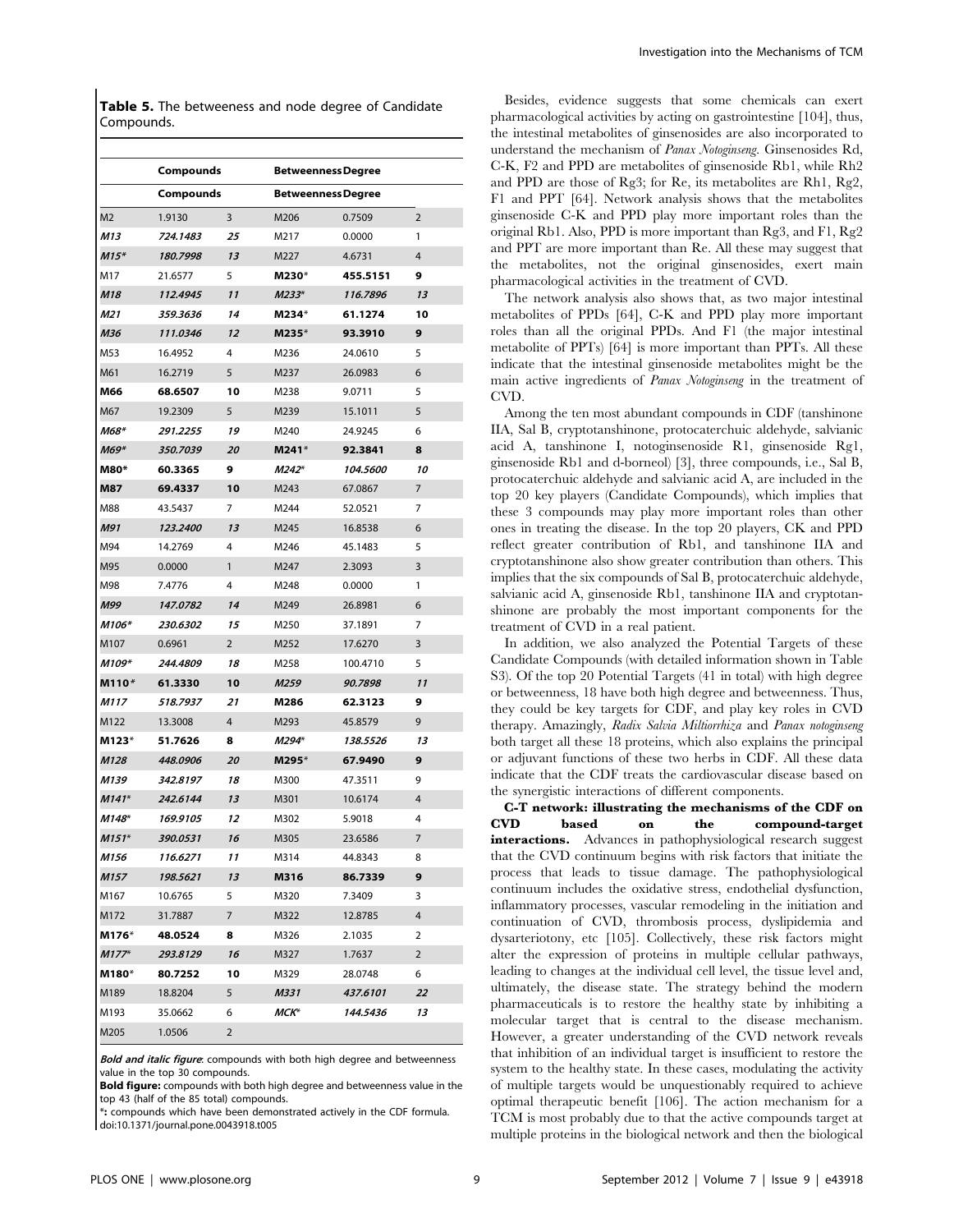Table 5. The betweeness and node degree of Candidate Compounds.

|         | Compounds |                | <b>Betweenness Degree</b> |                           |                |  |
|---------|-----------|----------------|---------------------------|---------------------------|----------------|--|
|         | Compounds |                |                           | <b>Betweenness Degree</b> |                |  |
| M2      | 1.9130    | 3              | M206                      | 0.7509                    | $\overline{2}$ |  |
| M13     | 724.1483  | 25             | M217                      | 0.0000                    | 1              |  |
| $M15*$  | 180.7998  | 1 <sub>3</sub> | M227                      | 4.6731                    | $\overline{4}$ |  |
| M17     | 21.6577   | 5              | M230*                     | 455.5151                  | 9              |  |
| M18     | 112.4945  | 11             | $M233*$                   | 116.7896                  | 13             |  |
| M21     | 359.3636  | 14             | M234*                     | 61.1274                   | 10             |  |
| M36     | 111.0346  | 12             | M235*                     | 93.3910                   | 9              |  |
| M53     | 16.4952   | 4              | M236                      | 24.0610                   | 5              |  |
| M61     | 16.2719   | 5              | M237                      | 26.0983                   | 6              |  |
| M66     | 68.6507   | 10             | M238                      | 9.0711                    | 5              |  |
| M67     | 19.2309   | 5              | M239                      | 15.1011                   | 5              |  |
| M68*    | 291.2255  | 19             | M240                      | 24.9245                   | 6              |  |
| М69*    | 350.7039  | 20             | M241*                     | 92.3841                   | 8              |  |
| M80*    | 60.3365   | 9              | <b>M242*</b>              | 104.5600                  | 10             |  |
| M87     | 69.4337   | 10             | M243                      | 67.0867                   | $\overline{7}$ |  |
| M88     | 43.5437   | 7              | M244                      | 52.0521                   | 7              |  |
| M91     | 123.2400  | 1 <sub>3</sub> | M245                      | 16.8538                   | 6              |  |
| M94     | 14.2769   | 4              | M246                      | 45.1483                   | 5              |  |
| M95     | 0.0000    | 1              | M247                      | 2.3093                    | 3              |  |
| M98     | 7.4776    | 4              | M248                      | 0.0000                    | 1              |  |
| M99     | 147.0782  | 14             | M249                      | 26.8981                   | 6              |  |
| M106*   | 230.6302  | 15             | M250                      | 37.1891                   | 7              |  |
| M107    | 0.6961    | $\overline{2}$ | M252                      | 17.6270                   | 3              |  |
| M109*   | 244.4809  | 18             | M258                      | 100.4710                  | 5              |  |
| M110*   | 61.3330   | 10             | M259                      | 90.7898                   | 11             |  |
| M117    | 518.7937  | 21             | M286                      | 62.3123                   | 9              |  |
| M122    | 13.3008   | 4              | M293                      | 45.8579                   | 9              |  |
| M123*   | 51.7626   | 8              | M294*                     | 138.5526                  | 13             |  |
| M128    | 448.0906  | 20             | M295*                     | 67.9490                   | 9              |  |
| M139    | 342.8197  | 18             | M300                      | 47.3511                   | 9              |  |
| M141*   | 242.6144  | 1 <sub>3</sub> | M301                      | 10.6174                   | $\overline{4}$ |  |
| M148*   | 169.9105  | 12             | M302                      | 5.9018                    | 4              |  |
| $M151*$ | 390.0531  | 16             | M305                      | 23.6586                   | $\overline{7}$ |  |
| M156    | 116.6271  | 11             | M314                      | 44.8343                   | 8              |  |
| M157    | 198.5621  | 13             | M316                      | 86.7339                   | 9              |  |
| M167    | 10.6765   | 5              | M320                      | 7.3409                    | 3              |  |
| M172    | 31.7887   | 7              | M322                      | 12.8785                   | $\overline{4}$ |  |
| M176*   | 48.0524   | 8              | M326                      | 2.1035                    | 2              |  |
| M177*   | 293.8129  | 16             | M327                      | 1.7637                    | $\overline{2}$ |  |
| M180*   | 80.7252   | 10             | M329                      | 28.0748                   | 6              |  |
| M189    | 18.8204   | 5              | M331                      | 437.6101                  | 22             |  |
| M193    | 35.0662   | 6              | МСК*                      | 144.5436                  | 13             |  |
| M205    | 1.0506    | $\overline{2}$ |                           |                           |                |  |

Bold and italic figure: compounds with both high degree and betweenness value in the top 30 compounds.

Bold figure: compounds with both high degree and betweenness value in the top 43 (half of the 85 total) compounds.

\*: compounds which have been demonstrated actively in the CDF formula. doi:10.1371/journal.pone.0043918.t005

Besides, evidence suggests that some chemicals can exert pharmacological activities by acting on gastrointestine [104], thus, the intestinal metabolites of ginsenosides are also incorporated to understand the mechanism of Panax Notoginseng. Ginsenosides Rd, C-K, F2 and PPD are metabolites of ginsenoside Rb1, while Rh2 and PPD are those of Rg3; for Re, its metabolites are Rh1, Rg2, F1 and PPT [64]. Network analysis shows that the metabolites ginsenoside C-K and PPD play more important roles than the original Rb1. Also, PPD is more important than Rg3, and F1, Rg2 and PPT are more important than Re. All these may suggest that the metabolites, not the original ginsenosides, exert main pharmacological activities in the treatment of CVD.

The network analysis also shows that, as two major intestinal metabolites of PPDs [64], C-K and PPD play more important roles than all the original PPDs. And F1 (the major intestinal metabolite of PPTs) [64] is more important than PPTs. All these indicate that the intestinal ginsenoside metabolites might be the main active ingredients of Panax Notoginseng in the treatment of CVD.

Among the ten most abundant compounds in CDF (tanshinone IIA, Sal B, cryptotanshinone, protocaterchuic aldehyde, salvianic acid A, tanshinone I, notoginsenoside R1, ginsenoside Rg1, ginsenoside Rb1 and d-borneol) [3], three compounds, i.e., Sal B, protocaterchuic aldehyde and salvianic acid A, are included in the top 20 key players (Candidate Compounds), which implies that these 3 compounds may play more important roles than other ones in treating the disease. In the top 20 players, CK and PPD reflect greater contribution of Rb1, and tanshinone IIA and cryptotanshinone also show greater contribution than others. This implies that the six compounds of Sal B, protocaterchuic aldehyde, salvianic acid A, ginsenoside Rb1, tanshinone IIA and cryptotanshinone are probably the most important components for the treatment of CVD in a real patient.

In addition, we also analyzed the Potential Targets of these Candidate Compounds (with detailed information shown in Table S3). Of the top 20 Potential Targets (41 in total) with high degree or betweenness, 18 have both high degree and betweenness. Thus, they could be key targets for CDF, and play key roles in CVD therapy. Amazingly, Radix Salvia Miltiorrhiza and Panax notoginseng both target all these 18 proteins, which also explains the principal or adjuvant functions of these two herbs in CDF. All these data indicate that the CDF treats the cardiovascular disease based on the synergistic interactions of different components.

C-T network: illustrating the mechanisms of the CDF on CVD based on the compound-target interactions. Advances in pathophysiological research suggest that the CVD continuum begins with risk factors that initiate the process that leads to tissue damage. The pathophysiological continuum includes the oxidative stress, endothelial dysfunction, inflammatory processes, vascular remodeling in the initiation and continuation of CVD, thrombosis process, dyslipidemia and dysarteriotony, etc [105]. Collectively, these risk factors might alter the expression of proteins in multiple cellular pathways, leading to changes at the individual cell level, the tissue level and, ultimately, the disease state. The strategy behind the modern pharmaceuticals is to restore the healthy state by inhibiting a molecular target that is central to the disease mechanism. However, a greater understanding of the CVD network reveals that inhibition of an individual target is insufficient to restore the system to the healthy state. In these cases, modulating the activity of multiple targets would be unquestionably required to achieve optimal therapeutic benefit [106]. The action mechanism for a TCM is most probably due to that the active compounds target at multiple proteins in the biological network and then the biological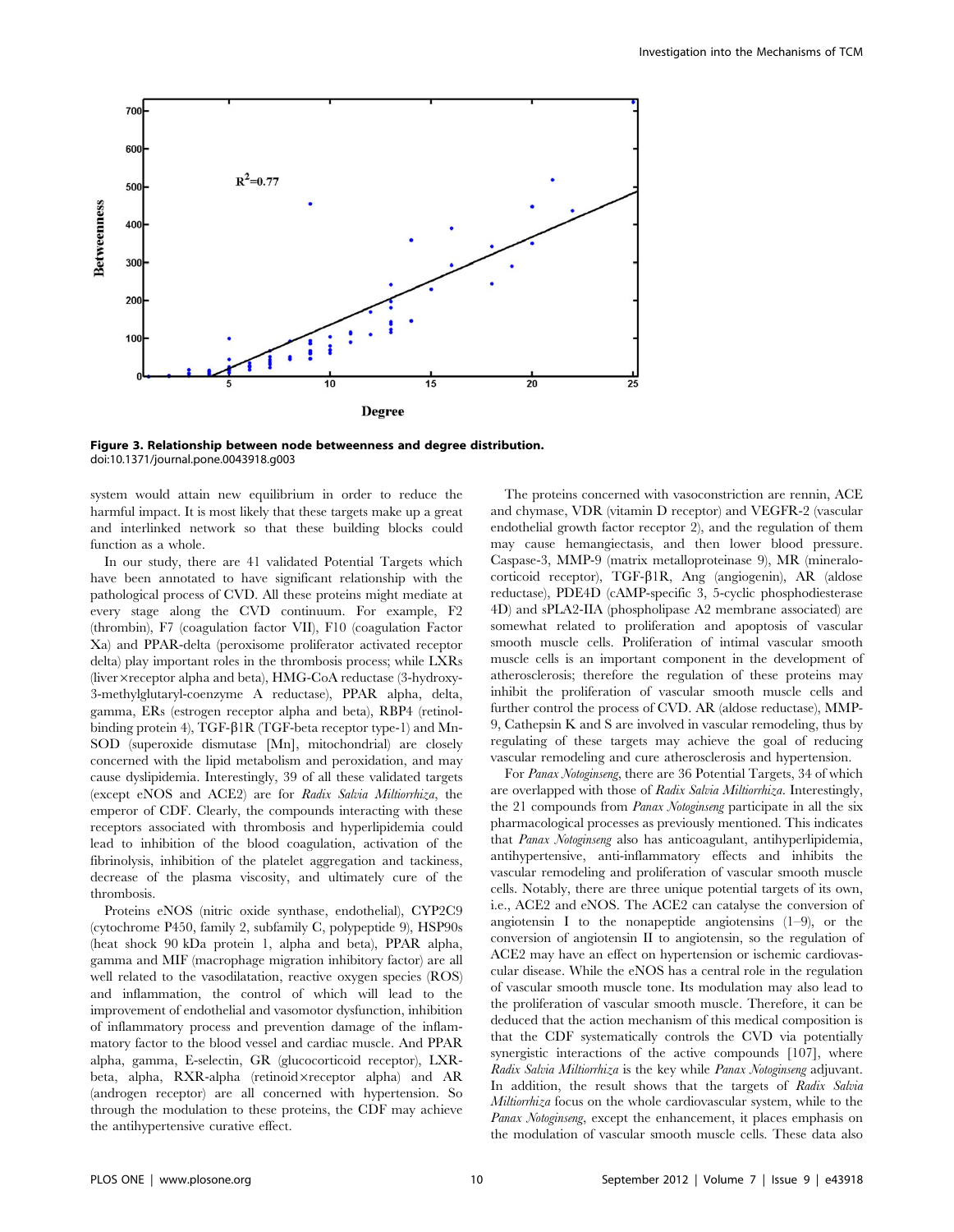

Figure 3. Relationship between node betweenness and degree distribution. doi:10.1371/journal.pone.0043918.g003

system would attain new equilibrium in order to reduce the harmful impact. It is most likely that these targets make up a great and interlinked network so that these building blocks could function as a whole.

In our study, there are 41 validated Potential Targets which have been annotated to have significant relationship with the pathological process of CVD. All these proteins might mediate at every stage along the CVD continuum. For example, F2 (thrombin), F7 (coagulation factor VII), F10 (coagulation Factor Xa) and PPAR-delta (peroxisome proliferator activated receptor delta) play important roles in the thrombosis process; while LXRs (liver × receptor alpha and beta), HMG-CoA reductase (3-hydroxy-3-methylglutaryl-coenzyme A reductase), PPAR alpha, delta, gamma, ERs (estrogen receptor alpha and beta), RBP4 (retinolbinding protein 4),  $TGF- $\beta$ 1R (TGF-beta receptor type-1) and Mn-$ SOD (superoxide dismutase [Mn], mitochondrial) are closely concerned with the lipid metabolism and peroxidation, and may cause dyslipidemia. Interestingly, 39 of all these validated targets (except eNOS and ACE2) are for Radix Salvia Miltiorrhiza, the emperor of CDF. Clearly, the compounds interacting with these receptors associated with thrombosis and hyperlipidemia could lead to inhibition of the blood coagulation, activation of the fibrinolysis, inhibition of the platelet aggregation and tackiness, decrease of the plasma viscosity, and ultimately cure of the thrombosis.

Proteins eNOS (nitric oxide synthase, endothelial), CYP2C9 (cytochrome P450, family 2, subfamily C, polypeptide 9), HSP90s (heat shock 90 kDa protein 1, alpha and beta), PPAR alpha, gamma and MIF (macrophage migration inhibitory factor) are all well related to the vasodilatation, reactive oxygen species (ROS) and inflammation, the control of which will lead to the improvement of endothelial and vasomotor dysfunction, inhibition of inflammatory process and prevention damage of the inflammatory factor to the blood vessel and cardiac muscle. And PPAR alpha, gamma, E-selectin, GR (glucocorticoid receptor), LXRbeta, alpha, RXR-alpha (retinoid×receptor alpha) and AR (androgen receptor) are all concerned with hypertension. So through the modulation to these proteins, the CDF may achieve the antihypertensive curative effect.

The proteins concerned with vasoconstriction are rennin, ACE and chymase, VDR (vitamin D receptor) and VEGFR-2 (vascular endothelial growth factor receptor 2), and the regulation of them may cause hemangiectasis, and then lower blood pressure. Caspase-3, MMP-9 (matrix metalloproteinase 9), MR (mineralocorticoid receptor),  $TGF- $\beta$ 1R, Ang (angiogenin), AR (aldose)$ reductase), PDE4D (cAMP-specific 3, 5-cyclic phosphodiesterase 4D) and sPLA2-IIA (phospholipase A2 membrane associated) are somewhat related to proliferation and apoptosis of vascular smooth muscle cells. Proliferation of intimal vascular smooth muscle cells is an important component in the development of atherosclerosis; therefore the regulation of these proteins may inhibit the proliferation of vascular smooth muscle cells and further control the process of CVD. AR (aldose reductase), MMP-9, Cathepsin K and S are involved in vascular remodeling, thus by regulating of these targets may achieve the goal of reducing vascular remodeling and cure atherosclerosis and hypertension.

For Panax Notoginseng, there are 36 Potential Targets, 34 of which are overlapped with those of Radix Salvia Miltiorrhiza. Interestingly, the 21 compounds from *Panax Notoginseng* participate in all the six pharmacological processes as previously mentioned. This indicates that Panax Notoginseng also has anticoagulant, antihyperlipidemia, antihypertensive, anti-inflammatory effects and inhibits the vascular remodeling and proliferation of vascular smooth muscle cells. Notably, there are three unique potential targets of its own, i.e., ACE2 and eNOS. The ACE2 can catalyse the conversion of angiotensin I to the nonapeptide angiotensins  $(1-9)$ , or the conversion of angiotensin II to angiotensin, so the regulation of ACE2 may have an effect on hypertension or ischemic cardiovascular disease. While the eNOS has a central role in the regulation of vascular smooth muscle tone. Its modulation may also lead to the proliferation of vascular smooth muscle. Therefore, it can be deduced that the action mechanism of this medical composition is that the CDF systematically controls the CVD via potentially synergistic interactions of the active compounds [107], where Radix Salvia Miltiorrhiza is the key while Panax Notoginseng adjuvant. In addition, the result shows that the targets of Radix Salvia Miltiorrhiza focus on the whole cardiovascular system, while to the Panax Notoginseng, except the enhancement, it places emphasis on the modulation of vascular smooth muscle cells. These data also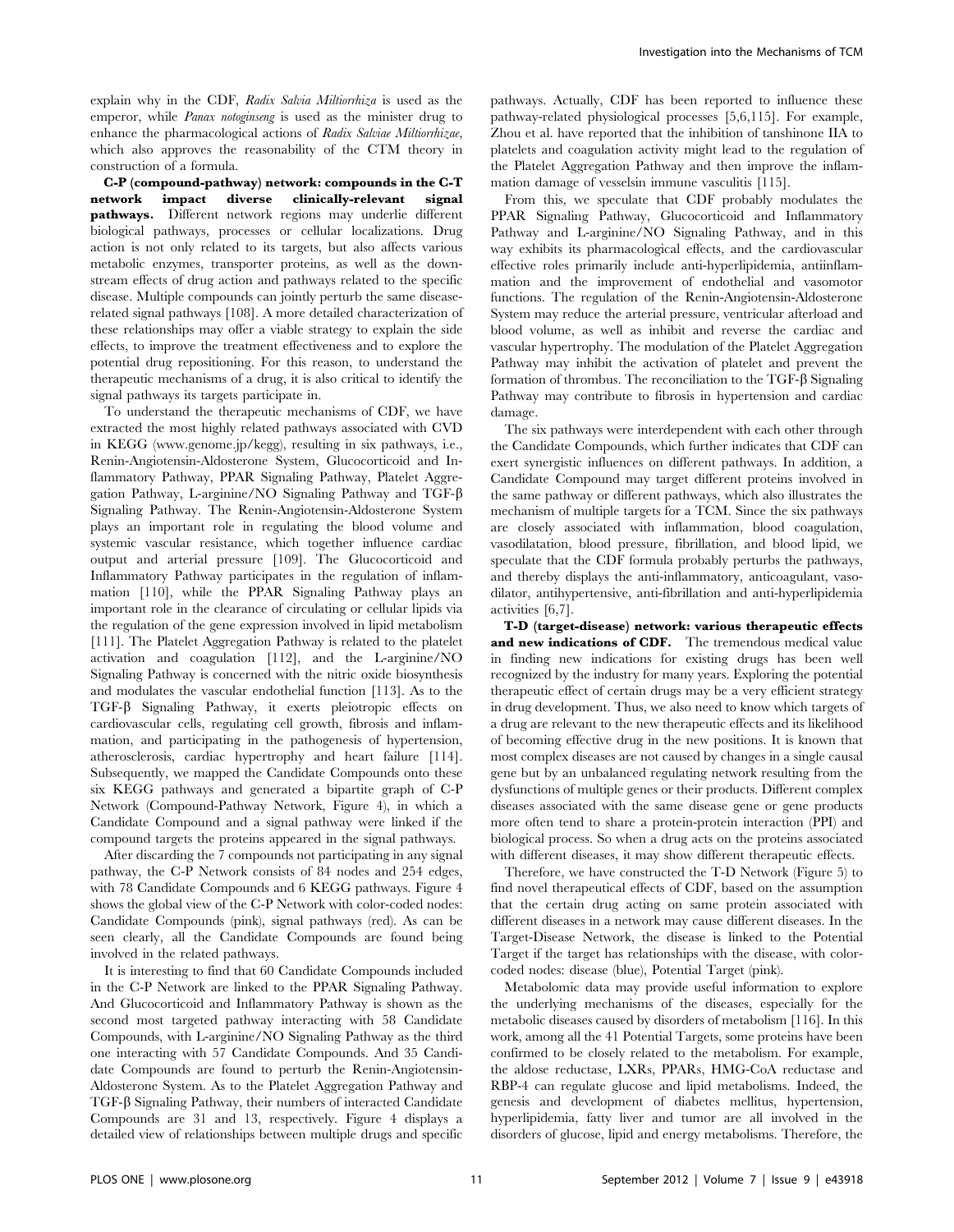explain why in the CDF, Radix Salvia Miltiorrhiza is used as the emperor, while *Panax notoginseng* is used as the minister drug to enhance the pharmacological actions of Radix Salviae Miltiorrhizae, which also approves the reasonability of the CTM theory in construction of a formula.

C-P (compound-pathway) network: compounds in the C-T network impact diverse clinically-relevant signal pathways. Different network regions may underlie different biological pathways, processes or cellular localizations. Drug action is not only related to its targets, but also affects various metabolic enzymes, transporter proteins, as well as the downstream effects of drug action and pathways related to the specific disease. Multiple compounds can jointly perturb the same diseaserelated signal pathways [108]. A more detailed characterization of these relationships may offer a viable strategy to explain the side effects, to improve the treatment effectiveness and to explore the potential drug repositioning. For this reason, to understand the therapeutic mechanisms of a drug, it is also critical to identify the signal pathways its targets participate in.

To understand the therapeutic mechanisms of CDF, we have extracted the most highly related pathways associated with CVD in KEGG (www.genome.jp/kegg), resulting in six pathways, i.e., Renin-Angiotensin-Aldosterone System, Glucocorticoid and Inflammatory Pathway, PPAR Signaling Pathway, Platelet Aggregation Pathway, L-arginine/NO Signaling Pathway and TGF-b Signaling Pathway. The Renin-Angiotensin-Aldosterone System plays an important role in regulating the blood volume and systemic vascular resistance, which together influence cardiac output and arterial pressure [109]. The Glucocorticoid and Inflammatory Pathway participates in the regulation of inflammation [110], while the PPAR Signaling Pathway plays an important role in the clearance of circulating or cellular lipids via the regulation of the gene expression involved in lipid metabolism [111]. The Platelet Aggregation Pathway is related to the platelet activation and coagulation [112], and the L-arginine/NO Signaling Pathway is concerned with the nitric oxide biosynthesis and modulates the vascular endothelial function [113]. As to the TGF-b Signaling Pathway, it exerts pleiotropic effects on cardiovascular cells, regulating cell growth, fibrosis and inflammation, and participating in the pathogenesis of hypertension, atherosclerosis, cardiac hypertrophy and heart failure [114]. Subsequently, we mapped the Candidate Compounds onto these six KEGG pathways and generated a bipartite graph of C-P Network (Compound-Pathway Network, Figure 4), in which a Candidate Compound and a signal pathway were linked if the compound targets the proteins appeared in the signal pathways.

After discarding the 7 compounds not participating in any signal pathway, the C-P Network consists of 84 nodes and 254 edges, with 78 Candidate Compounds and 6 KEGG pathways. Figure 4 shows the global view of the C-P Network with color-coded nodes: Candidate Compounds (pink), signal pathways (red). As can be seen clearly, all the Candidate Compounds are found being involved in the related pathways.

It is interesting to find that 60 Candidate Compounds included in the C-P Network are linked to the PPAR Signaling Pathway. And Glucocorticoid and Inflammatory Pathway is shown as the second most targeted pathway interacting with 58 Candidate Compounds, with L-arginine/NO Signaling Pathway as the third one interacting with 57 Candidate Compounds. And 35 Candidate Compounds are found to perturb the Renin-Angiotensin-Aldosterone System. As to the Platelet Aggregation Pathway and TGF-β Signaling Pathway, their numbers of interacted Candidate Compounds are 31 and 13, respectively. Figure 4 displays a detailed view of relationships between multiple drugs and specific pathways. Actually, CDF has been reported to influence these pathway-related physiological processes [5,6,115]. For example, Zhou et al. have reported that the inhibition of tanshinone IIA to platelets and coagulation activity might lead to the regulation of the Platelet Aggregation Pathway and then improve the inflammation damage of vesselsin immune vasculitis [115].

From this, we speculate that CDF probably modulates the PPAR Signaling Pathway, Glucocorticoid and Inflammatory Pathway and L-arginine/NO Signaling Pathway, and in this way exhibits its pharmacological effects, and the cardiovascular effective roles primarily include anti-hyperlipidemia, antiinflammation and the improvement of endothelial and vasomotor functions. The regulation of the Renin-Angiotensin-Aldosterone System may reduce the arterial pressure, ventricular afterload and blood volume, as well as inhibit and reverse the cardiac and vascular hypertrophy. The modulation of the Platelet Aggregation Pathway may inhibit the activation of platelet and prevent the formation of thrombus. The reconciliation to the TGF- $\beta$  Signaling Pathway may contribute to fibrosis in hypertension and cardiac damage.

The six pathways were interdependent with each other through the Candidate Compounds, which further indicates that CDF can exert synergistic influences on different pathways. In addition, a Candidate Compound may target different proteins involved in the same pathway or different pathways, which also illustrates the mechanism of multiple targets for a TCM. Since the six pathways are closely associated with inflammation, blood coagulation, vasodilatation, blood pressure, fibrillation, and blood lipid, we speculate that the CDF formula probably perturbs the pathways, and thereby displays the anti-inflammatory, anticoagulant, vasodilator, antihypertensive, anti-fibrillation and anti-hyperlipidemia activities [6,7].

T-D (target-disease) network: various therapeutic effects and new indications of CDF. The tremendous medical value in finding new indications for existing drugs has been well recognized by the industry for many years. Exploring the potential therapeutic effect of certain drugs may be a very efficient strategy in drug development. Thus, we also need to know which targets of a drug are relevant to the new therapeutic effects and its likelihood of becoming effective drug in the new positions. It is known that most complex diseases are not caused by changes in a single causal gene but by an unbalanced regulating network resulting from the dysfunctions of multiple genes or their products. Different complex diseases associated with the same disease gene or gene products more often tend to share a protein-protein interaction (PPI) and biological process. So when a drug acts on the proteins associated with different diseases, it may show different therapeutic effects.

Therefore, we have constructed the T-D Network (Figure 5) to find novel therapeutical effects of CDF, based on the assumption that the certain drug acting on same protein associated with different diseases in a network may cause different diseases. In the Target-Disease Network, the disease is linked to the Potential Target if the target has relationships with the disease, with colorcoded nodes: disease (blue), Potential Target (pink).

Metabolomic data may provide useful information to explore the underlying mechanisms of the diseases, especially for the metabolic diseases caused by disorders of metabolism [116]. In this work, among all the 41 Potential Targets, some proteins have been confirmed to be closely related to the metabolism. For example, the aldose reductase, LXRs, PPARs, HMG-CoA reductase and RBP-4 can regulate glucose and lipid metabolisms. Indeed, the genesis and development of diabetes mellitus, hypertension, hyperlipidemia, fatty liver and tumor are all involved in the disorders of glucose, lipid and energy metabolisms. Therefore, the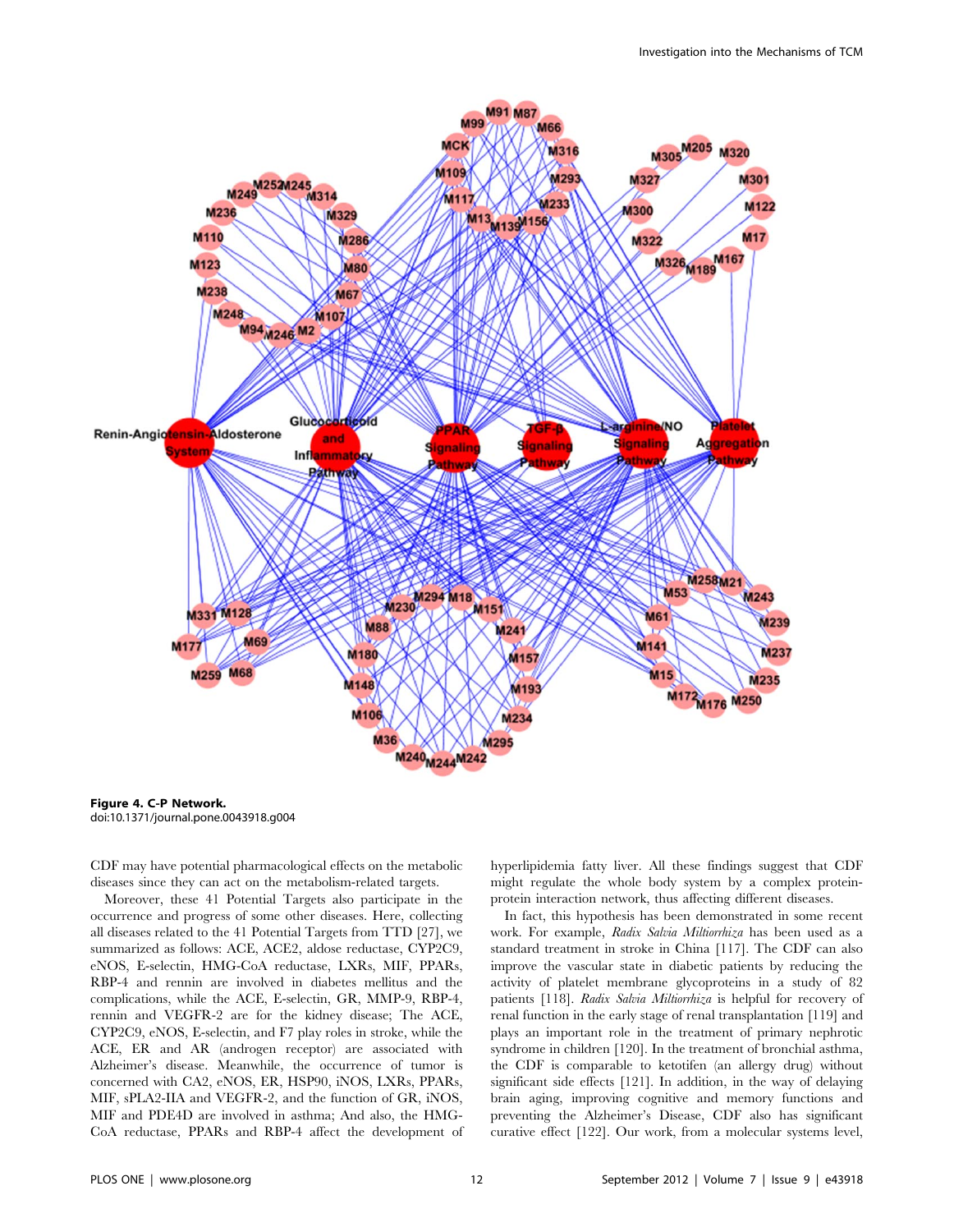

Figure 4. C-P Network. doi:10.1371/journal.pone.0043918.g004

CDF may have potential pharmacological effects on the metabolic diseases since they can act on the metabolism-related targets.

Moreover, these 41 Potential Targets also participate in the occurrence and progress of some other diseases. Here, collecting all diseases related to the 41 Potential Targets from TTD [27], we summarized as follows: ACE, ACE2, aldose reductase, CYP2C9, eNOS, E-selectin, HMG-CoA reductase, LXRs, MIF, PPARs, RBP-4 and rennin are involved in diabetes mellitus and the complications, while the ACE, E-selectin, GR, MMP-9, RBP-4, rennin and VEGFR-2 are for the kidney disease; The ACE, CYP2C9, eNOS, E-selectin, and F7 play roles in stroke, while the ACE, ER and AR (androgen receptor) are associated with Alzheimer's disease. Meanwhile, the occurrence of tumor is concerned with CA2, eNOS, ER, HSP90, iNOS, LXRs, PPARs, MIF, sPLA2-IIA and VEGFR-2, and the function of GR, iNOS, MIF and PDE4D are involved in asthma; And also, the HMG-CoA reductase, PPARs and RBP-4 affect the development of hyperlipidemia fatty liver. All these findings suggest that CDF might regulate the whole body system by a complex proteinprotein interaction network, thus affecting different diseases.

In fact, this hypothesis has been demonstrated in some recent work. For example, Radix Salvia Miltiorrhiza has been used as a standard treatment in stroke in China [117]. The CDF can also improve the vascular state in diabetic patients by reducing the activity of platelet membrane glycoproteins in a study of 82 patients [118]. Radix Salvia Miltiorrhiza is helpful for recovery of renal function in the early stage of renal transplantation [119] and plays an important role in the treatment of primary nephrotic syndrome in children [120]. In the treatment of bronchial asthma, the CDF is comparable to ketotifen (an allergy drug) without significant side effects [121]. In addition, in the way of delaying brain aging, improving cognitive and memory functions and preventing the Alzheimer's Disease, CDF also has significant curative effect [122]. Our work, from a molecular systems level,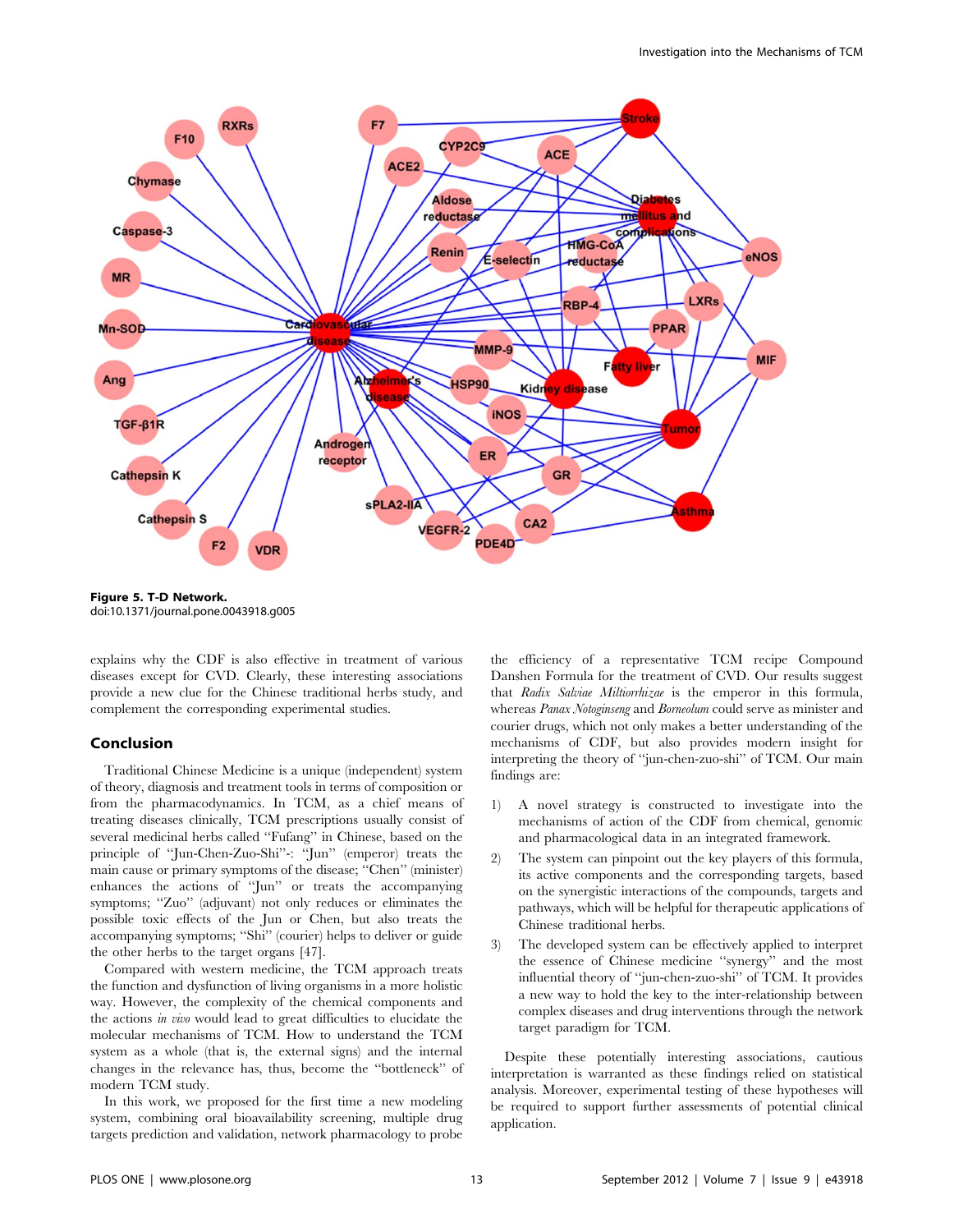

Figure 5. T-D Network. doi:10.1371/journal.pone.0043918.g005

explains why the CDF is also effective in treatment of various diseases except for CVD. Clearly, these interesting associations provide a new clue for the Chinese traditional herbs study, and complement the corresponding experimental studies.

## Conclusion

Traditional Chinese Medicine is a unique (independent) system of theory, diagnosis and treatment tools in terms of composition or from the pharmacodynamics. In TCM, as a chief means of treating diseases clinically, TCM prescriptions usually consist of several medicinal herbs called ''Fufang'' in Chinese, based on the principle of ''Jun-Chen-Zuo-Shi''-: ''Jun'' (emperor) treats the main cause or primary symptoms of the disease; ''Chen'' (minister) enhances the actions of ''Jun'' or treats the accompanying symptoms; ''Zuo'' (adjuvant) not only reduces or eliminates the possible toxic effects of the Jun or Chen, but also treats the accompanying symptoms; ''Shi'' (courier) helps to deliver or guide the other herbs to the target organs [47].

Compared with western medicine, the TCM approach treats the function and dysfunction of living organisms in a more holistic way. However, the complexity of the chemical components and the actions in vivo would lead to great difficulties to elucidate the molecular mechanisms of TCM. How to understand the TCM system as a whole (that is, the external signs) and the internal changes in the relevance has, thus, become the ''bottleneck'' of modern TCM study.

In this work, we proposed for the first time a new modeling system, combining oral bioavailability screening, multiple drug targets prediction and validation, network pharmacology to probe

the efficiency of a representative TCM recipe Compound Danshen Formula for the treatment of CVD. Our results suggest that Radix Salviae Miltiorrhizae is the emperor in this formula, whereas Panax Notoginseng and Borneolum could serve as minister and courier drugs, which not only makes a better understanding of the mechanisms of CDF, but also provides modern insight for interpreting the theory of ''jun-chen-zuo-shi'' of TCM. Our main findings are:

- 1) A novel strategy is constructed to investigate into the mechanisms of action of the CDF from chemical, genomic and pharmacological data in an integrated framework.
- 2) The system can pinpoint out the key players of this formula, its active components and the corresponding targets, based on the synergistic interactions of the compounds, targets and pathways, which will be helpful for therapeutic applications of Chinese traditional herbs.
- The developed system can be effectively applied to interpret the essence of Chinese medicine ''synergy'' and the most influential theory of ''jun-chen-zuo-shi'' of TCM. It provides a new way to hold the key to the inter-relationship between complex diseases and drug interventions through the network target paradigm for TCM.

Despite these potentially interesting associations, cautious interpretation is warranted as these findings relied on statistical analysis. Moreover, experimental testing of these hypotheses will be required to support further assessments of potential clinical application.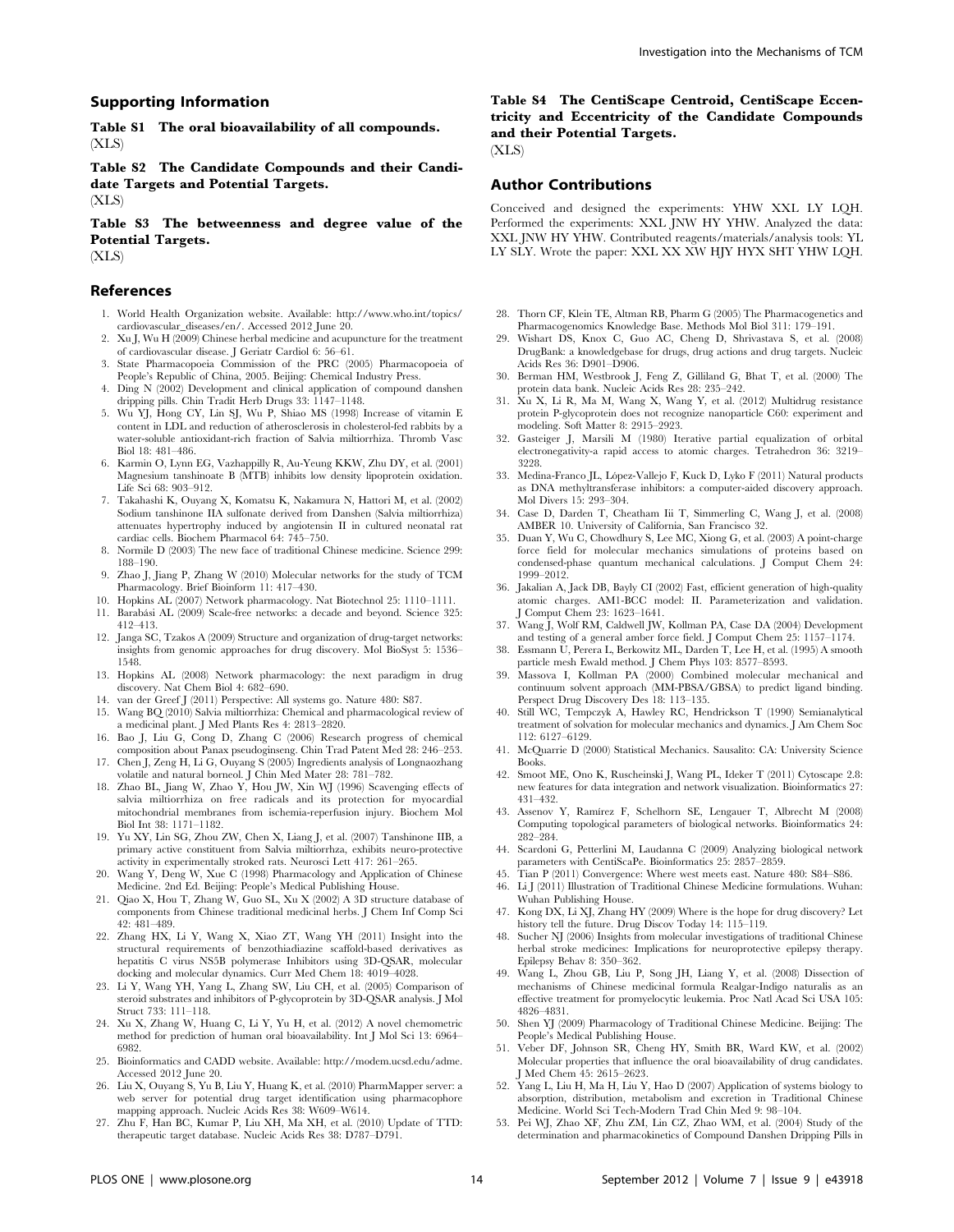#### Supporting Information

Table S1 The oral bioavailability of all compounds. (XLS)

Table S2 The Candidate Compounds and their Candidate Targets and Potential Targets.

(XLS)

Table S3 The betweenness and degree value of the Potential Targets.

 $(XLS)$ 

### References

- 1. World Health Organization website. Available: http://www.who.int/topics/ cardiovascular\_diseases/en/. Accessed 2012 June 20.
- 2. Xu J, Wu H (2009) Chinese herbal medicine and acupuncture for the treatment of cardiovascular disease. J Geriatr Cardiol 6: 56–61.
- 3. State Pharmacopoeia Commission of the PRC (2005) Pharmacopoeia of People's Republic of China, 2005. Beijing: Chemical Industry Press.
- 4. Ding N (2002) Development and clinical application of compound danshen dripping pills. Chin Tradit Herb Drugs 33: 1147–1148.
- 5. Wu YJ, Hong CY, Lin SJ, Wu P, Shiao MS (1998) Increase of vitamin E content in LDL and reduction of atherosclerosis in cholesterol-fed rabbits by a water-soluble antioxidant-rich fraction of Salvia miltiorrhiza. Thromb Vasc Biol 18: 481–486.
- 6. Karmin O, Lynn EG, Vazhappilly R, Au-Yeung KKW, Zhu DY, et al. (2001) Magnesium tanshinoate B (MTB) inhibits low density lipoprotein oxidation. Life Sci 68: 903–912.
- 7. Takahashi K, Ouyang X, Komatsu K, Nakamura N, Hattori M, et al. (2002) Sodium tanshinone IIA sulfonate derived from Danshen (Salvia miltiorrhiza) attenuates hypertrophy induced by angiotensin II in cultured neonatal rat cardiac cells. Biochem Pharmacol 64: 745–750.
- 8. Normile D (2003) The new face of traditional Chinese medicine. Science 299: 188–190.
- 9. Zhao J, Jiang P, Zhang W (2010) Molecular networks for the study of TCM Pharmacology. Brief Bioinform 11: 417–430.
- 10. Hopkins AL (2007) Network pharmacology. Nat Biotechnol 25: 1110–1111.
- 11. Barabási AL (2009) Scale-free networks: a decade and beyond. Science 325: 412–413.
- 12. Janga SC, Tzakos A (2009) Structure and organization of drug-target networks: insights from genomic approaches for drug discovery. Mol BioSyst 5: 1536– 1548.
- 13. Hopkins AL (2008) Network pharmacology: the next paradigm in drug discovery. Nat Chem Biol 4: 682–690.
- 14. van der Greef J (2011) Perspective: All systems go. Nature 480: S87.
- 15. Wang BQ (2010) Salvia miltiorrhiza: Chemical and pharmacological review of a medicinal plant. J Med Plants Res 4: 2813–2820.
- 16. Bao J, Liu G, Cong D, Zhang C (2006) Research progress of chemical composition about Panax pseudoginseng. Chin Trad Patent Med 28: 246–253.
- 17. Chen J, Zeng H, Li G, Ouyang S (2005) Ingredients analysis of Longnaozhang volatile and natural borneol. J Chin Med Mater 28: 781–782.
- 18. Zhao BL, Jiang W, Zhao Y, Hou JW, Xin WJ (1996) Scavenging effects of salvia miltiorrhiza on free radicals and its protection for myocardial mitochondrial membranes from ischemia-reperfusion injury. Biochem Mol Biol Int 38: 1171–1182.
- 19. Yu XY, Lin SG, Zhou ZW, Chen X, Liang J, et al. (2007) Tanshinone IIB, a primary active constituent from Salvia miltiorrhza, exhibits neuro-protective activity in experimentally stroked rats. Neurosci Lett 417: 261–265.
- 20. Wang Y, Deng W, Xue C (1998) Pharmacology and Application of Chinese Medicine. 2nd Ed. Beijing: People's Medical Publishing House.
- 21. Qiao X, Hou T, Zhang W, Guo SL, Xu X (2002) A  $3D$  structure database of components from Chinese traditional medicinal herbs. J Chem Inf Comp Sci 42: 481–489.
- 22. Zhang HX, Li Y, Wang X, Xiao ZT, Wang YH (2011) Insight into the structural requirements of benzothiadiazine scaffold-based derivatives as hepatitis C virus NS5B polymerase Inhibitors using 3D-QSAR, molecular docking and molecular dynamics. Curr Med Chem 18: 4019–4028.
- 23. Li Y, Wang YH, Yang L, Zhang SW, Liu CH, et al. (2005) Comparison of steroid substrates and inhibitors of P-glycoprotein by 3D-QSAR analysis. J Mol Struct 733: 111–118.
- 24. Xu X, Zhang W, Huang C, Li Y, Yu H, et al. (2012) A novel chemometric method for prediction of human oral bioavailability. Int J Mol Sci 13: 6964– 6982.
- 25. Bioinformatics and CADD website. Available: http://modem.ucsd.edu/adme. Accessed 2012 June 20.
- 26. Liu X, Ouyang S, Yu B, Liu Y, Huang K, et al. (2010) PharmMapper server: a web server for potential drug target identification using pharmacophore mapping approach. Nucleic Acids Res 38: W609–W614.
- 27. Zhu F, Han BC, Kumar P, Liu XH, Ma XH, et al. (2010) Update of TTD: therapeutic target database. Nucleic Acids Res 38: D787–D791.

## Table S4 The CentiScape Centroid, CentiScape Eccentricity and Eccentricity of the Candidate Compounds and their Potential Targets.

(XLS)

## Author Contributions

Conceived and designed the experiments: YHW XXL LY LQH. Performed the experiments: XXL JNW HY YHW. Analyzed the data: XXL JNW HY YHW. Contributed reagents/materials/analysis tools: YL LY SLY. Wrote the paper: XXL XX XW HJY HYX SHT YHW LQH.

- 28. Thorn CF, Klein TE, Altman RB, Pharm G (2005) The Pharmacogenetics and Pharmacogenomics Knowledge Base. Methods Mol Biol 311: 179–191.
- 29. Wishart DS, Knox C, Guo AC, Cheng D, Shrivastava S, et al. (2008) DrugBank: a knowledgebase for drugs, drug actions and drug targets. Nucleic Acids Res 36: D901–D906.
- 30. Berman HM, Westbrook J, Feng Z, Gilliland G, Bhat T, et al. (2000) The protein data bank. Nucleic Acids Res 28: 235–242.
- 31. Xu X, Li R, Ma M, Wang X, Wang Y, et al. (2012) Multidrug resistance protein P-glycoprotein does not recognize nanoparticle C60: experiment and modeling. Soft Matter 8: 2915–2923.
- 32. Gasteiger J, Marsili M (1980) Iterative partial equalization of orbital electronegativity-a rapid access to atomic charges. Tetrahedron 36: 3219– 3228.
- 33. Medina-Franco JL, López-Vallejo F, Kuck D, Lyko F (2011) Natural products as DNA methyltransferase inhibitors: a computer-aided discovery approach. Mol Divers 15: 293–304.
- 34. Case D, Darden T, Cheatham Iii T, Simmerling C, Wang J, et al. (2008) AMBER 10. University of California, San Francisco 32.
- 35. Duan Y, Wu C, Chowdhury S, Lee MC, Xiong G, et al. (2003) A point-charge force field for molecular mechanics simulations of proteins based on condensed-phase quantum mechanical calculations. J Comput Chem 24: 1999–2012.
- 36. Jakalian A, Jack DB, Bayly CI (2002) Fast, efficient generation of high-quality atomic charges. AM1-BCC model: II. Parameterization and validation. J Comput Chem 23: 1623–1641.
- 37. Wang J, Wolf RM, Caldwell JW, Kollman PA, Case DA (2004) Development and testing of a general amber force field. J Comput Chem 25: 1157–1174.
- 38. Essmann U, Perera L, Berkowitz ML, Darden T, Lee H, et al. (1995) A smooth particle mesh Ewald method. J Chem Phys 103: 8577–8593.
- 39. Massova I, Kollman PA (2000) Combined molecular mechanical and continuum solvent approach (MM-PBSA/GBSA) to predict ligand binding. Perspect Drug Discovery Des 18: 113–135.
- 40. Still WC, Tempczyk A, Hawley RC, Hendrickson T (1990) Semianalytical treatment of solvation for molecular mechanics and dynamics. J Am Chem Soc 112: 6127–6129.
- 41. McQuarrie D (2000) Statistical Mechanics. Sausalito: CA: University Science Books.
- 42. Smoot ME, Ono K, Ruscheinski J, Wang PL, Ideker T (2011) Cytoscape 2.8: new features for data integration and network visualization. Bioinformatics 27: 431–432.
- 43. Assenov Y, Ramı´rez F, Schelhorn SE, Lengauer T, Albrecht M (2008) Computing topological parameters of biological networks. Bioinformatics 24: 282–284.
- 44. Scardoni G, Petterlini M, Laudanna C (2009) Analyzing biological network parameters with CentiScaPe. Bioinformatics 25: 2857–2859.
- Tian P (2011) Convergence: Where west meets east. Nature 480: S84–S86.
- 46. Li J (2011) Illustration of Traditional Chinese Medicine formulations. Wuhan:
- Wuhan Publishing House. 47. Kong DX, Li XJ, Zhang HY (2009) Where is the hope for drug discovery? Let history tell the future. Drug Discov Today 14: 115–119.
- 48. Sucher NJ (2006) Insights from molecular investigations of traditional Chinese herbal stroke medicines: Implications for neuroprotective epilepsy therapy. Epilepsy Behav 8: 350–362.
- 49. Wang L, Zhou GB, Liu P, Song JH, Liang Y, et al. (2008) Dissection of mechanisms of Chinese medicinal formula Realgar-Indigo naturalis as an effective treatment for promyelocytic leukemia. Proc Natl Acad Sci USA 105: 4826–4831.
- 50. Shen YJ (2009) Pharmacology of Traditional Chinese Medicine. Beijing: The People's Medical Publishing House.
- 51. Veber DF, Johnson SR, Cheng HY, Smith BR, Ward KW, et al. (2002) Molecular properties that influence the oral bioavailability of drug candidates. J Med Chem 45: 2615–2623.
- 52. Yang L, Liu H, Ma H, Liu Y, Hao D (2007) Application of systems biology to absorption, distribution, metabolism and excretion in Traditional Chinese Medicine. World Sci Tech-Modern Trad Chin Med 9: 98–104.
- 53. Pei WJ, Zhao XF, Zhu ZM, Lin CZ, Zhao WM, et al. (2004) Study of the determination and pharmacokinetics of Compound Danshen Dripping Pills in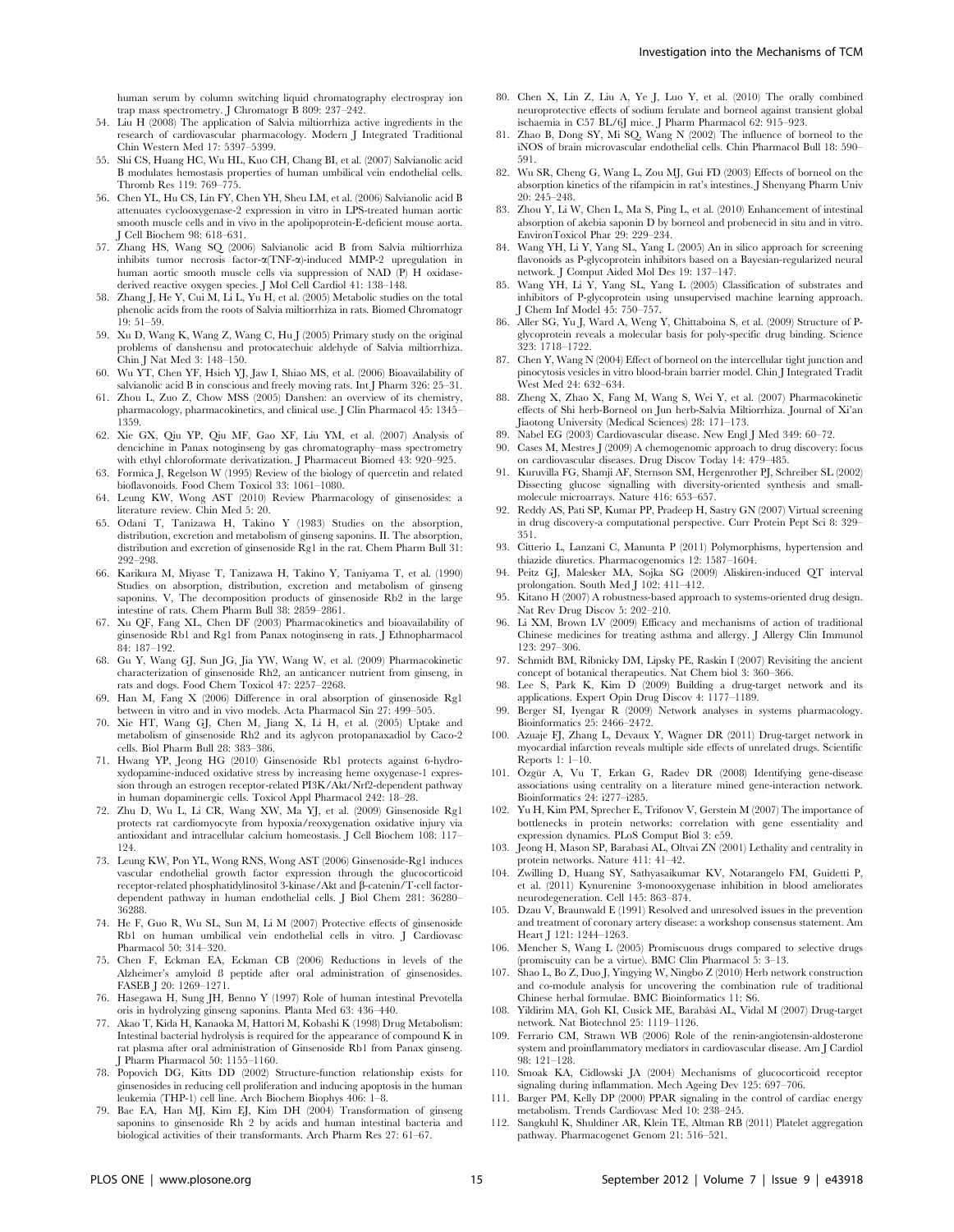- 54. Liu H (2008) The application of Salvia miltiorrhiza active ingredients in the research of cardiovascular pharmacology. Modern J Integrated Traditional Chin Western Med 17: 5397–5399.
- 55. Shi CS, Huang HC, Wu HL, Kuo CH, Chang BI, et al. (2007) Salvianolic acid B modulates hemostasis properties of human umbilical vein endothelial cells. Thromb Res 119: 769–775.
- 56. Chen YL, Hu CS, Lin FY, Chen YH, Sheu LM, et al. (2006) Salvianolic acid B attenuates cyclooxygenase-2 expression in vitro in LPS-treated human aortic smooth muscle cells and in vivo in the apolipoprotein-E-deficient mouse aorta. J Cell Biochem 98: 618–631.
- 57. Zhang HS, Wang SQ (2006) Salvianolic acid B from Salvia miltiorrhiza inhibits tumor necrosis factor-α(TNF-α)-induced MMP-2 upregulation in human aortic smooth muscle cells via suppression of NAD (P) H oxidasederived reactive oxygen species. J Mol Cell Cardiol 41: 138–148.
- 58. Zhang J, He Y, Cui M, Li L, Yu H, et al. (2005) Metabolic studies on the total phenolic acids from the roots of Salvia miltiorrhiza in rats. Biomed Chromatogr 19: 51–59.
- 59. Xu D, Wang K, Wang Z, Wang C, Hu J (2005) Primary study on the original problems of danshensu and protocatechuic aldehyde of Salvia miltiorrhiza. Chin J Nat Med 3: 148–150.
- 60. Wu YT, Chen YF, Hsieh YJ, Jaw I, Shiao MS, et al. (2006) Bioavailability of salvianolic acid B in conscious and freely moving rats. Int J Pharm 326: 25–31.
- 61. Zhou L, Zuo Z, Chow MSS (2005) Danshen: an overview of its chemistry, pharmacology, pharmacokinetics, and clinical use. J Clin Pharmacol 45: 1345– 1359.
- 62. Xie GX, Qiu YP, Qiu MF, Gao XF, Liu YM, et al. (2007) Analysis of dencichine in Panax notoginseng by gas chromatography–mass spectrometry with ethyl chloroformate derivatization. J Pharmaceut Biomed 43: 920–925.
- 63. Formica J, Regelson W (1995) Review of the biology of quercetin and related bioflavonoids. Food Chem Toxicol 33: 1061–1080.
- 64. Leung KW, Wong AST (2010) Review Pharmacology of ginsenosides: a literature review. Chin Med 5: 20.
- 65. Odani T, Tanizawa H, Takino Y (1983) Studies on the absorption, distribution, excretion and metabolism of ginseng saponins. II. The absorption, distribution and excretion of ginsenoside Rg1 in the rat. Chem Pharm Bull 31: 292–298.
- 66. Karikura M, Miyase T, Tanizawa H, Takino Y, Taniyama T, et al. (1990) Studies on absorption, distribution, excretion and metabolism of ginseng saponins. V, The decomposition products of ginsenoside Rb2 in the large intestine of rats. Chem Pharm Bull 38: 2859–2861.
- 67. Xu QF, Fang XL, Chen DF (2003) Pharmacokinetics and bioavailability of ginsenoside Rb1 and Rg1 from Panax notoginseng in rats. J Ethnopharmacol 84: 187–192.
- 68. Gu Y, Wang GJ, Sun JG, Jia YW, Wang W, et al. (2009) Pharmacokinetic characterization of ginsenoside Rh2, an anticancer nutrient from ginseng, in rats and dogs. Food Chem Toxicol 47: 2257–2268.
- 69. Han M, Fang X (2006) Difference in oral absorption of ginsenoside Rg1 between in vitro and in vivo models. Acta Pharmacol Sin 27: 499–505.
- 70. Xie HT, Wang GJ, Chen M, Jiang X, Li H, et al. (2005) Uptake and metabolism of ginsenoside Rh2 and its aglycon protopanaxadiol by Caco-2 cells. Biol Pharm Bull 28: 383–386.
- 71. Hwang YP, Jeong HG (2010) Ginsenoside Rb1 protects against 6-hydroxydopamine-induced oxidative stress by increasing heme oxygenase-1 expression through an estrogen receptor-related PI3K/Akt/Nrf2-dependent pathway in human dopaminergic cells. Toxicol Appl Pharmacol 242: 18–28.
- 72. Zhu D, Wu L, Li CR, Wang XW, Ma YJ, et al. (2009) Ginsenoside Rg1 protects rat cardiomyocyte from hypoxia/reoxygenation oxidative injury via antioxidant and intracellular calcium homeostasis. J Cell Biochem 108: 117– 124.
- 73. Leung KW, Pon YL, Wong RNS, Wong AST (2006) Ginsenoside-Rg1 induces vascular endothelial growth factor expression through the glucocorticoid receptor-related phosphatidylinositol 3-kinase/Akt and β-catenin/T-cell factordependent pathway in human endothelial cells. J Biol Chem 281: 36280– 36288.
- 74. He F, Guo R, Wu SL, Sun M, Li M (2007) Protective effects of ginsenoside Rb1 on human umbilical vein endothelial cells in vitro. J Cardiovasc Pharmacol 50: 314–320.
- 75. Chen F, Eckman EA, Eckman CB (2006) Reductions in levels of the Alzheimer's amyloid ß peptide after oral administration of ginsenosides. FASEB J 20: 1269–1271.
- 76. Hasegawa H, Sung JH, Benno Y (1997) Role of human intestinal Prevotella oris in hydrolyzing ginseng saponins. Planta Med 63: 436–440.
- 77. Akao T, Kida H, Kanaoka M, Hattori M, Kobashi K (1998) Drug Metabolism: Intestinal bacterial hydrolysis is required for the appearance of compound K in rat plasma after oral administration of Ginsenoside Rb1 from Panax ginseng. J Pharm Pharmacol 50: 1155–1160.
- 78. Popovich DG, Kitts DD (2002) Structure-function relationship exists for ginsenosides in reducing cell proliferation and inducing apoptosis in the human leukemia (THP-1) cell line. Arch Biochem Biophys 406: 1–8.
- 79. Bae EA, Han MJ, Kim EJ, Kim DH (2004) Transformation of ginseng saponins to ginsenoside Rh 2 by acids and human intestinal bacteria and biological activities of their transformants. Arch Pharm Res 27: 61–67.

Investigation into the Mechanisms of TCM

- 80. Chen X, Lin Z, Liu A, Ye J, Luo Y, et al. (2010) The orally combined neuroprotective effects of sodium ferulate and borneol against transient global ischaemia in C57 BL/6J mice. J Pharm Pharmacol 62: 915–923.
- 81. Zhao B, Dong SY, Mi SQ, Wang N (2002) The influence of borneol to the iNOS of brain microvascular endothelial cells. Chin Pharmacol Bull 18: 590– 591.
- 82. Wu SR, Cheng G, Wang L, Zou MJ, Gui FD (2003) Effects of borneol on the absorption kinetics of the rifampicin in rat's intestines. J Shenyang Pharm Univ 20: 245–248.
- 83. Zhou Y, Li W, Chen L, Ma S, Ping L, et al. (2010) Enhancement of intestinal absorption of akebia saponin D by borneol and probenecid in situ and in vitro. EnvironToxicol Phar 29: 229–234.
- 84. Wang YH, Li Y, Yang SL, Yang L (2005) An in silico approach for screening flavonoids as P-glycoprotein inhibitors based on a Bayesian-regularized neural network. J Comput Aided Mol Des 19: 137–147.
- 85. Wang YH, Li Y, Yang SL, Yang L (2005) Classification of substrates and inhibitors of P-glycoprotein using unsupervised machine learning approach. J Chem Inf Model 45: 750–757.
- 86. Aller SG, Yu J, Ward A, Weng Y, Chittaboina S, et al. (2009) Structure of Pglycoprotein reveals a molecular basis for poly-specific drug binding. Science 323: 1718–1722.
- 87. Chen Y, Wang N (2004) Effect of borneol on the intercellular tight junction and pinocytosis vesicles in vitro blood-brain barrier model. Chin J Integrated Tradit West Med 24: 632–634.
- 88. Zheng X, Zhao X, Fang M, Wang S, Wei Y, et al. (2007) Pharmacokinetic effects of Shi herb-Borneol on Jun herb-Salvia Miltiorrhiza. Journal of Xi'an Jiaotong University (Medical Sciences) 28: 171–173.
- 89. Nabel EG (2003) Cardiovascular disease. New Engl J Med 349: 60–72.
- Cases M, Mestres J (2009) A chemogenomic approach to drug discovery: focus on cardiovascular diseases. Drug Discov Today 14: 479–485.
- 91. Kuruvilla FG, Shamji AF, Sternson SM, Hergenrother PJ, Schreiber SL (2002) Dissecting glucose signalling with diversity-oriented synthesis and smallmolecule microarrays. Nature 416: 653–657.
- 92. Reddy AS, Pati SP, Kumar PP, Pradeep H, Sastry GN (2007) Virtual screening in drug discovery-a computational perspective. Curr Protein Pept Sci 8: 329– 351.
- 93. Citterio L, Lanzani C, Manunta P (2011) Polymorphisms, hypertension and thiazide diuretics. Pharmacogenomics 12: 1587–1604.
- 94. Peitz GJ, Malesker MA, Sojka SG (2009) Aliskiren-induced QT interval prolongation. South Med J 102: 411–412.
- 95. Kitano H (2007) A robustness-based approach to systems-oriented drug design. Nat Rev Drug Discov 5: 202–210.
- 96. Li XM, Brown LV (2009) Efficacy and mechanisms of action of traditional Chinese medicines for treating asthma and allergy. J Allergy Clin Immunol 123: 297–306.
- 97. Schmidt BM, Ribnicky DM, Lipsky PE, Raskin I (2007) Revisiting the ancient concept of botanical therapeutics. Nat Chem biol 3: 360–366.
- 98. Lee S, Park K, Kim D (2009) Building a drug-target network and its applications. Expert Opin Drug Discov 4: 1177–1189.
- 99. Berger SI, Iyengar R (2009) Network analyses in systems pharmacology. Bioinformatics 25: 2466–2472.
- 100. Azuaje FJ, Zhang L, Devaux Y, Wagner DR (2011) Drug-target network in myocardial infarction reveals multiple side effects of unrelated drugs. Scientific Reports 1: 1–10.
- 101. Özgür A, Vu T, Erkan G, Radev DR (2008) Identifying gene-disease associations using centrality on a literature mined gene-interaction network. Bioinformatics 24: i277–i285.
- 102. Yu H, Kim PM, Sprecher E, Trifonov V, Gerstein M (2007) The importance of bottlenecks in protein networks: correlation with gene essentiality and expression dynamics. PLoS Comput Biol 3: e59.
- 103. Jeong H, Mason SP, Barabasi AL, Oltvai ZN (2001) Lethality and centrality in protein networks. Nature 411: 41–42.
- 104. Zwilling D, Huang SY, Sathyasaikumar KV, Notarangelo FM, Guidetti P, et al. (2011) Kynurenine 3-monooxygenase inhibition in blood ameliorates neurodegeneration. Cell 145: 863–874.
- 105. Dzau V, Braunwald E (1991) Resolved and unresolved issues in the prevention and treatment of coronary artery disease: a workshop consensus statement. Am Heart J 121: 1244–1263.
- 106. Mencher S, Wang L (2005) Promiscuous drugs compared to selective drugs (promiscuity can be a virtue). BMC Clin Pharmacol 5: 3–13.
- 107. Shao L, Bo Z, Duo J, Yingying W, Ningbo Z (2010) Herb network construction and co-module analysis for uncovering the combination rule of traditional Chinese herbal formulae. BMC Bioinformatics 11: S6.
- 108. Yildirim MA, Goh KI, Cusick ME, Barabási AL, Vidal M (2007) Drug-target network. Nat Biotechnol 25: 1119–1126.
- 109. Ferrario CM, Strawn WB (2006) Role of the renin-angiotensin-aldosterone system and proinflammatory mediators in cardiovascular disease. Am J Cardiol 98: 121–128.
- 110. Smoak KA, Cidlowski JA (2004) Mechanisms of glucocorticoid receptor signaling during inflammation. Mech Ageing Dev 125: 697–706.
- 111. Barger PM, Kelly DP (2000) PPAR signaling in the control of cardiac energy metabolism. Trends Cardiovasc Med 10: 238–245.
- 112. Sangkuhl K, Shuldiner AR, Klein TE, Altman RB (2011) Platelet aggregation pathway. Pharmacogenet Genom 21: 516–521.